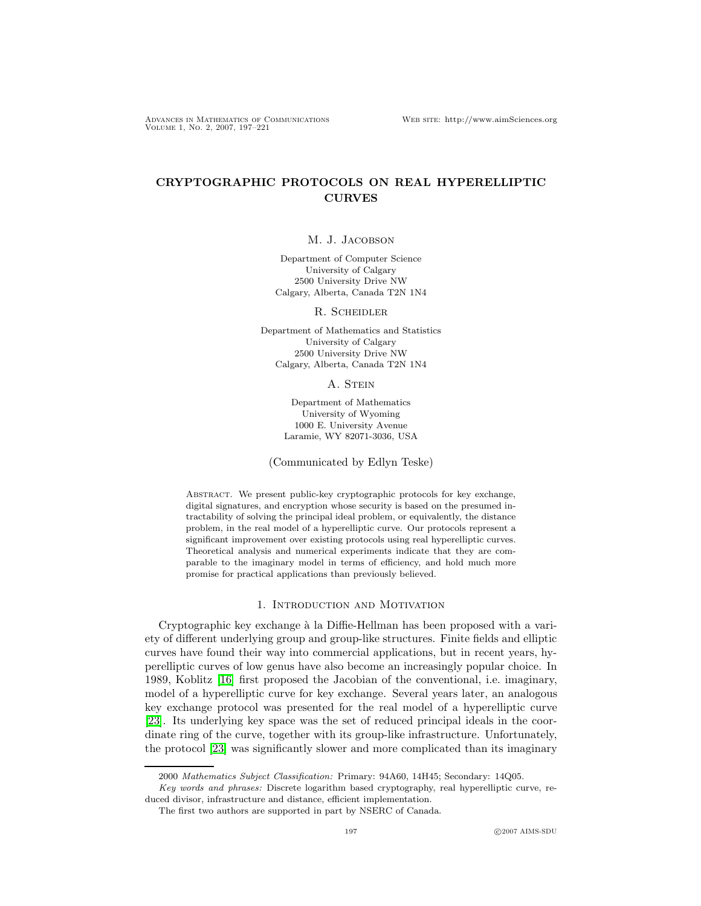Advances in Mathematics of Communications Web site: http://www.aimSciences.org Volume 1, No. 2, 2007, 197–221

# CRYPTOGRAPHIC PROTOCOLS ON REAL HYPERELLIPTIC CURVES

#### M. J. Jacobson

Department of Computer Science University of Calgary 2500 University Drive NW Calgary, Alberta, Canada T2N 1N4

R. Scheidler

Department of Mathematics and Statistics University of Calgary 2500 University Drive NW Calgary, Alberta, Canada T2N 1N4

A. STEIN

Department of Mathematics University of Wyoming 1000 E. University Avenue Laramie, WY 82071-3036, USA

(Communicated by Edlyn Teske)

Abstract. We present public-key cryptographic protocols for key exchange, digital signatures, and encryption whose security is based on the presumed intractability of solving the principal ideal problem, or equivalently, the distance problem, in the real model of a hyperelliptic curve. Our protocols represent a significant improvement over existing protocols using real hyperelliptic curves. Theoretical analysis and numerical experiments indicate that they are comparable to the imaginary model in terms of efficiency, and hold much more promise for practical applications than previously believed.

## 1. Introduction and Motivation

Cryptographic key exchange à la Diffie-Hellman has been proposed with a variety of different underlying group and group-like structures. Finite fields and elliptic curves have found their way into commercial applications, but in recent years, hyperelliptic curves of low genus have also become an increasingly popular choice. In 1989, Koblitz [\[16\]](#page-24-0) first proposed the Jacobian of the conventional, i.e. imaginary, model of a hyperelliptic curve for key exchange. Several years later, an analogous key exchange protocol was presented for the real model of a hyperelliptic curve [\[23\]](#page-24-1). Its underlying key space was the set of reduced principal ideals in the coordinate ring of the curve, together with its group-like infrastructure. Unfortunately, the protocol [\[23\]](#page-24-1) was significantly slower and more complicated than its imaginary

<sup>2000</sup> Mathematics Subject Classification: Primary: 94A60, 14H45; Secondary: 14Q05.

Key words and phrases: Discrete logarithm based cryptography, real hyperelliptic curve, reduced divisor, infrastructure and distance, efficient implementation.

The first two authors are supported in part by NSERC of Canada.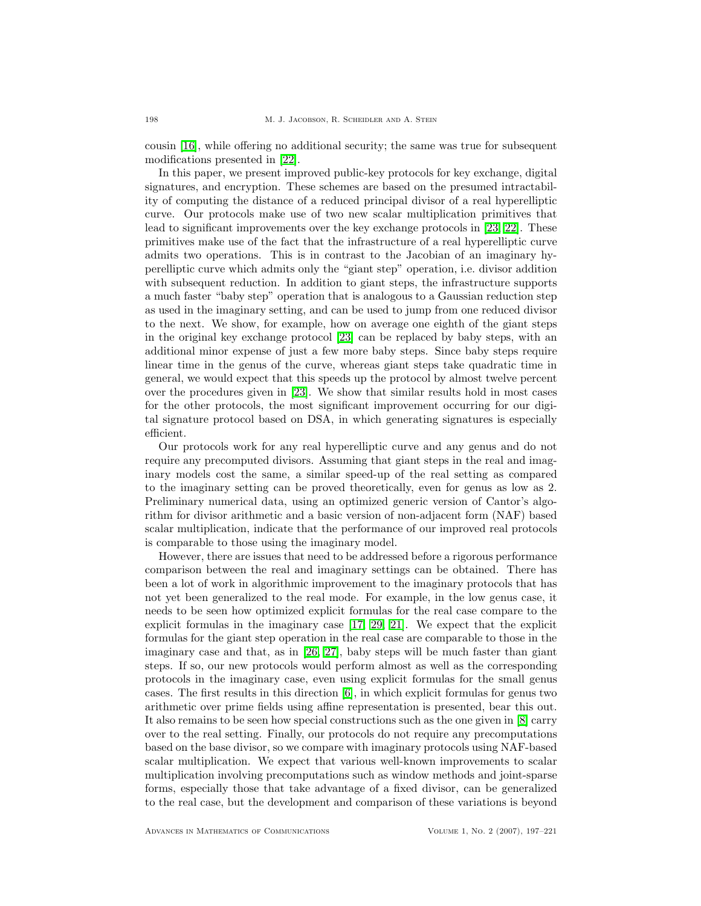cousin [\[16\]](#page-24-0), while offering no additional security; the same was true for subsequent modifications presented in [\[22\]](#page-24-2).

In this paper, we present improved public-key protocols for key exchange, digital signatures, and encryption. These schemes are based on the presumed intractability of computing the distance of a reduced principal divisor of a real hyperelliptic curve. Our protocols make use of two new scalar multiplication primitives that lead to significant improvements over the key exchange protocols in [\[23,](#page-24-1) [22\]](#page-24-2). These primitives make use of the fact that the infrastructure of a real hyperelliptic curve admits two operations. This is in contrast to the Jacobian of an imaginary hyperelliptic curve which admits only the "giant step" operation, i.e. divisor addition with subsequent reduction. In addition to giant steps, the infrastructure supports a much faster "baby step" operation that is analogous to a Gaussian reduction step as used in the imaginary setting, and can be used to jump from one reduced divisor to the next. We show, for example, how on average one eighth of the giant steps in the original key exchange protocol [\[23\]](#page-24-1) can be replaced by baby steps, with an additional minor expense of just a few more baby steps. Since baby steps require linear time in the genus of the curve, whereas giant steps take quadratic time in general, we would expect that this speeds up the protocol by almost twelve percent over the procedures given in [\[23\]](#page-24-1). We show that similar results hold in most cases for the other protocols, the most significant improvement occurring for our digital signature protocol based on DSA, in which generating signatures is especially efficient.

Our protocols work for any real hyperelliptic curve and any genus and do not require any precomputed divisors. Assuming that giant steps in the real and imaginary models cost the same, a similar speed-up of the real setting as compared to the imaginary setting can be proved theoretically, even for genus as low as 2. Preliminary numerical data, using an optimized generic version of Cantor's algorithm for divisor arithmetic and a basic version of non-adjacent form (NAF) based scalar multiplication, indicate that the performance of our improved real protocols is comparable to those using the imaginary model.

However, there are issues that need to be addressed before a rigorous performance comparison between the real and imaginary settings can be obtained. There has been a lot of work in algorithmic improvement to the imaginary protocols that has not yet been generalized to the real mode. For example, in the low genus case, it needs to be seen how optimized explicit formulas for the real case compare to the explicit formulas in the imaginary case [\[17,](#page-24-3) [29,](#page-24-4) [21\]](#page-24-5). We expect that the explicit formulas for the giant step operation in the real case are comparable to those in the imaginary case and that, as in [\[26,](#page-24-6) [27\]](#page-24-7), baby steps will be much faster than giant steps. If so, our new protocols would perform almost as well as the corresponding protocols in the imaginary case, even using explicit formulas for the small genus cases. The first results in this direction [\[6\]](#page-23-0), in which explicit formulas for genus two arithmetic over prime fields using affine representation is presented, bear this out. It also remains to be seen how special constructions such as the one given in [\[8\]](#page-23-1) carry over to the real setting. Finally, our protocols do not require any precomputations based on the base divisor, so we compare with imaginary protocols using NAF-based scalar multiplication. We expect that various well-known improvements to scalar multiplication involving precomputations such as window methods and joint-sparse forms, especially those that take advantage of a fixed divisor, can be generalized to the real case, but the development and comparison of these variations is beyond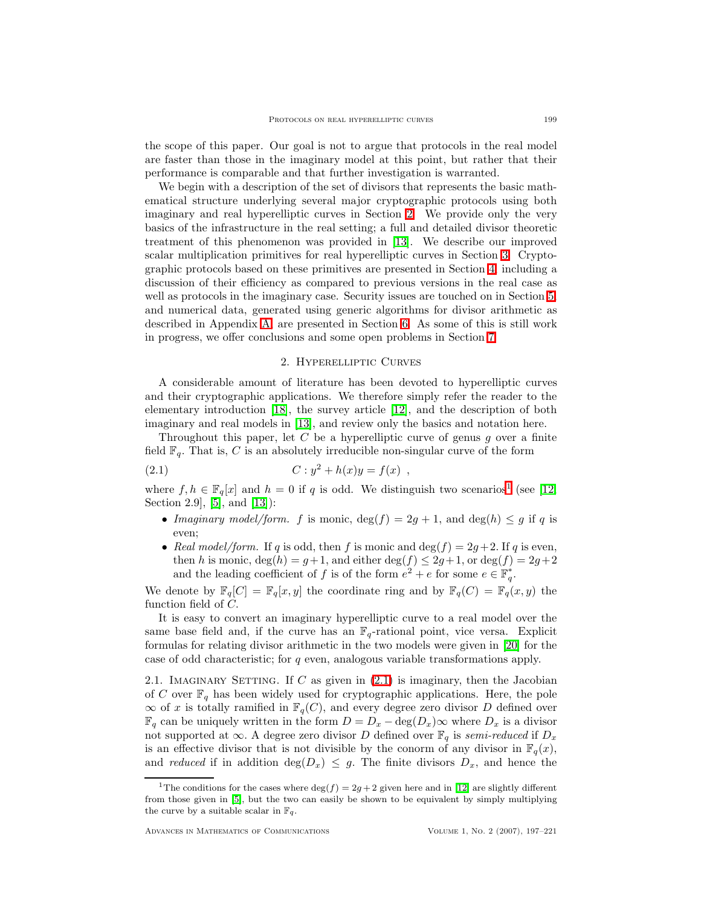the scope of this paper. Our goal is not to argue that protocols in the real model are faster than those in the imaginary model at this point, but rather that their performance is comparable and that further investigation is warranted.

We begin with a description of the set of divisors that represents the basic mathematical structure underlying several major cryptographic protocols using both imaginary and real hyperelliptic curves in Section [2.](#page-2-0) We provide only the very basics of the infrastructure in the real setting; a full and detailed divisor theoretic treatment of this phenomenon was provided in [\[13\]](#page-24-8). We describe our improved scalar multiplication primitives for real hyperelliptic curves in Section [3.](#page-6-0) Cryptographic protocols based on these primitives are presented in Section [4,](#page-12-0) including a discussion of their efficiency as compared to previous versions in the real case as well as protocols in the imaginary case. Security issues are touched on in Section [5,](#page-15-0) and numerical data, generated using generic algorithms for divisor arithmetic as described in Appendix [A,](#page-22-0) are presented in Section [6.](#page-16-0) As some of this is still work in progress, we offer conclusions and some open problems in Section [7.](#page-19-0)

#### 2. Hyperelliptic Curves

<span id="page-2-0"></span>A considerable amount of literature has been devoted to hyperelliptic curves and their cryptographic applications. We therefore simply refer the reader to the elementary introduction [\[18\]](#page-24-9), the survey article [\[12\]](#page-24-10), and the description of both imaginary and real models in [\[13\]](#page-24-8), and review only the basics and notation here.

Throughout this paper, let C be a hyperelliptic curve of genus q over a finite field  $\mathbb{F}_q$ . That is, C is an absolutely irreducible non-singular curve of the form

<span id="page-2-2"></span>(2.1) 
$$
C: y^2 + h(x)y = f(x) ,
$$

where  $f, h \in \mathbb{F}_q[x]$  and  $h = 0$  if q is odd. We distinguish two scenarios<sup>[1](#page-2-1)</sup> (see [\[12,](#page-24-10) Section 2.9, [\[5\]](#page-23-2), and  $[13]$ :

- Imaginary model/form. f is monic,  $deg(f) = 2g + 1$ , and  $deg(h) \leq g$  if q is even;
- Real model/form. If q is odd, then f is monic and  $\deg(f) = 2g + 2$ . If q is even, then h is monic,  $deg(h) = g+1$ , and either  $deg(f) \leq 2g+1$ , or  $deg(f) = 2g+2$ and the leading coefficient of f is of the form  $e^2 + e$  for some  $e \in \mathbb{F}_q^*$ .

We denote by  $\mathbb{F}_q[C] = \mathbb{F}_q[x, y]$  the coordinate ring and by  $\mathbb{F}_q(C) = \mathbb{F}_q(x, y)$  the function field of C.

It is easy to convert an imaginary hyperelliptic curve to a real model over the same base field and, if the curve has an  $\mathbb{F}_q$ -rational point, vice versa. Explicit formulas for relating divisor arithmetic in the two models were given in [\[20\]](#page-24-11) for the case of odd characteristic; for q even, analogous variable transformations apply.

<span id="page-2-3"></span>2.1. IMAGINARY SETTING. If C as given in  $(2.1)$  is imaginary, then the Jacobian of C over  $\mathbb{F}_q$  has been widely used for cryptographic applications. Here, the pole  $\infty$  of x is totally ramified in  $\mathbb{F}_q(C)$ , and every degree zero divisor D defined over  $\mathbb{F}_q$  can be uniquely written in the form  $D = D_x - \deg(D_x) \infty$  where  $D_x$  is a divisor not supported at  $\infty$ . A degree zero divisor D defined over  $\mathbb{F}_q$  is semi-reduced if  $D_x$ is an effective divisor that is not divisible by the conorm of any divisor in  $\mathbb{F}_q(x)$ , and reduced if in addition  $\deg(D_x) \leq g$ . The finite divisors  $D_x$ , and hence the

<span id="page-2-1"></span><sup>&</sup>lt;sup>1</sup>The conditions for the cases where deg(f) = 2g + 2 given here and in [\[12\]](#page-24-10) are slightly different from those given in [\[5\]](#page-23-2), but the two can easily be shown to be equivalent by simply multiplying the curve by a suitable scalar in  $\mathbb{F}_q$ .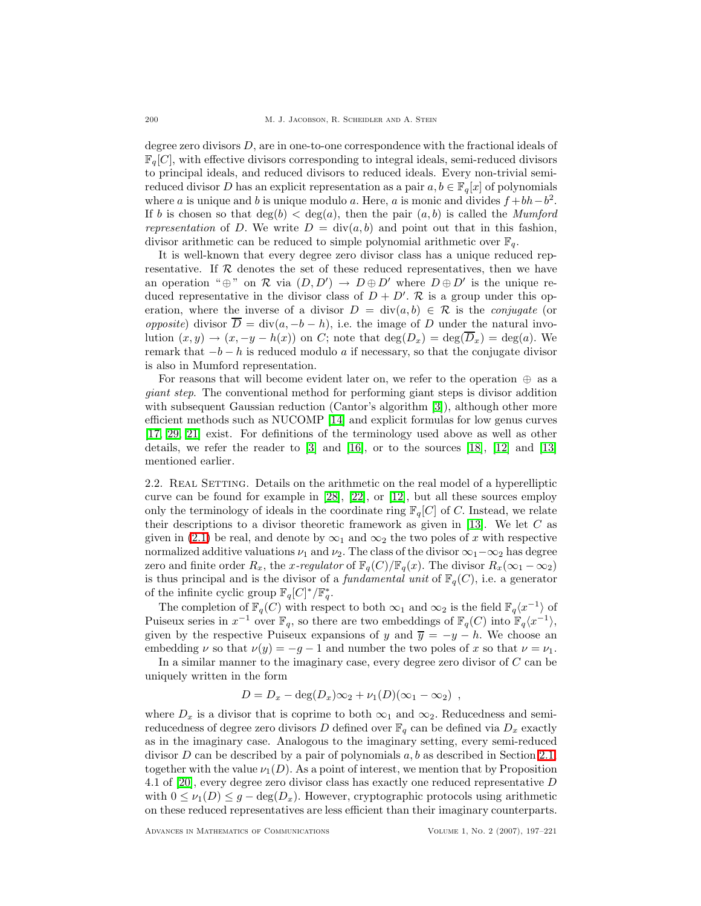degree zero divisors  $D$ , are in one-to-one correspondence with the fractional ideals of  $\mathbb{F}_q[C]$ , with effective divisors corresponding to integral ideals, semi-reduced divisors to principal ideals, and reduced divisors to reduced ideals. Every non-trivial semireduced divisor D has an explicit representation as a pair  $a, b \in \mathbb{F}_q[x]$  of polynomials where a is unique and b is unique modulo a. Here, a is monic and divides  $f + bh - b^2$ . If b is chosen so that  $deg(b) < deg(a)$ , then the pair  $(a, b)$  is called the *Mumford* representation of D. We write  $D = \text{div}(a, b)$  and point out that in this fashion, divisor arithmetic can be reduced to simple polynomial arithmetic over  $\mathbb{F}_q$ .

It is well-known that every degree zero divisor class has a unique reduced representative. If  $R$  denotes the set of these reduced representatives, then we have an operation " $\oplus$ " on  $\mathcal R$  via  $(D, D') \to D \oplus D'$  where  $D \oplus D'$  is the unique reduced representative in the divisor class of  $D + D'$ . R is a group under this operation, where the inverse of a divisor  $D = \text{div}(a, b) \in \mathcal{R}$  is the *conjugate* (or *opposite*) divisor  $\overline{D} = \text{div}(a, -b - h)$ , i.e. the image of D under the natural involution  $(x, y) \rightarrow (x, -y - h(x))$  on C; note that  $deg(D_x) = deg(\overline{D}_x) = deg(a)$ . We remark that  $-b-h$  is reduced modulo a if necessary, so that the conjugate divisor is also in Mumford representation.

For reasons that will become evident later on, we refer to the operation  $\oplus$  as a giant step. The conventional method for performing giant steps is divisor addition with subsequent Gaussian reduction (Cantor's algorithm [\[3\]](#page-23-3)), although other more efficient methods such as NUCOMP [\[14\]](#page-24-12) and explicit formulas for low genus curves [\[17,](#page-24-3) [29,](#page-24-4) [21\]](#page-24-5) exist. For definitions of the terminology used above as well as other details, we refer the reader to  $\lbrack 3 \rbrack$  and  $\lbrack 16 \rbrack$ , or to the sources  $\lbrack 18 \rbrack$ ,  $\lbrack 12 \rbrack$  and  $\lbrack 13 \rbrack$ mentioned earlier.

2.2. REAL SETTING. Details on the arithmetic on the real model of a hyperelliptic curve can be found for example in  $[28]$ ,  $[22]$ , or  $[12]$ , but all these sources employ only the terminology of ideals in the coordinate ring  $\mathbb{F}_q[C]$  of C. Instead, we relate their descriptions to a divisor theoretic framework as given in [\[13\]](#page-24-8). We let  $C$  as given in [\(2.1\)](#page-2-2) be real, and denote by  $\infty_1$  and  $\infty_2$  the two poles of x with respective normalized additive valuations  $\nu_1$  and  $\nu_2$ . The class of the divisor  $\infty_1-\infty_2$  has degree zero and finite order  $R_x$ , the x-regulator of  $\mathbb{F}_q(C)/\mathbb{F}_q(x)$ . The divisor  $R_x(\infty_1 - \infty_2)$ is thus principal and is the divisor of a *fundamental unit* of  $\mathbb{F}_q(C)$ , i.e. a generator of the infinite cyclic group  $\mathbb{F}_q[C]^*/\mathbb{F}_q^*$ .

The completion of  $\mathbb{F}_q(C)$  with respect to both  $\infty_1$  and  $\infty_2$  is the field  $\mathbb{F}_q\langle x^{-1} \rangle$  of Puiseux series in  $x^{-1}$  over  $\mathbb{F}_q$ , so there are two embeddings of  $\mathbb{F}_q(C)$  into  $\mathbb{F}_q(x^{-1}),$ given by the respective Puiseux expansions of y and  $\overline{y} = -y - h$ . We choose an embedding  $\nu$  so that  $\nu(y) = -g - 1$  and number the two poles of x so that  $\nu = \nu_1$ .

In a similar manner to the imaginary case, every degree zero divisor of  $C$  can be uniquely written in the form

$$
D = D_x - \deg(D_x)\infty_2 + \nu_1(D)(\infty_1 - \infty_2),
$$

where  $D_x$  is a divisor that is coprime to both  $\infty_1$  and  $\infty_2$ . Reducedness and semireducedness of degree zero divisors D defined over  $\mathbb{F}_q$  can be defined via  $D_x$  exactly as in the imaginary case. Analogous to the imaginary setting, every semi-reduced divisor  $D$  can be described by a pair of polynomials  $a, b$  as described in Section [2.1,](#page-2-3) together with the value  $\nu_1(D)$ . As a point of interest, we mention that by Proposition 4.1 of [\[20\]](#page-24-11), every degree zero divisor class has exactly one reduced representative D with  $0 \leq \nu_1(D) \leq g - \deg(D_x)$ . However, cryptographic protocols using arithmetic on these reduced representatives are less efficient than their imaginary counterparts.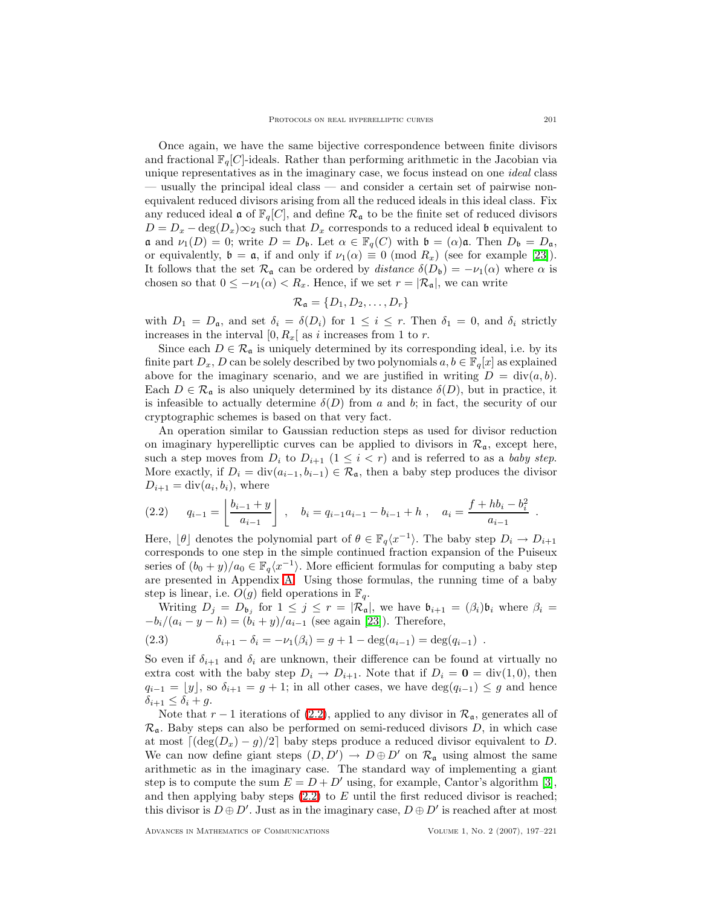Once again, we have the same bijective correspondence between finite divisors and fractional  $\mathbb{F}_q[C]$ -ideals. Rather than performing arithmetic in the Jacobian via unique representatives as in the imaginary case, we focus instead on one *ideal* class — usually the principal ideal class — and consider a certain set of pairwise nonequivalent reduced divisors arising from all the reduced ideals in this ideal class. Fix any reduced ideal  $\mathfrak{a}$  of  $\mathbb{F}_q[C]$ , and define  $\mathcal{R}_\mathfrak{a}$  to be the finite set of reduced divisors  $D = D_x - \deg(D_x)\infty_2$  such that  $D_x$  corresponds to a reduced ideal b equivalent to **a** and  $\nu_1(D) = 0$ ; write  $D = D_{\mathfrak{b}}$ . Let  $\alpha \in \mathbb{F}_q(C)$  with  $\mathfrak{b} = (\alpha)\mathfrak{a}$ . Then  $D_{\mathfrak{b}} = D_{\mathfrak{a}}$ , or equivalently,  $\mathfrak{b} = \mathfrak{a}$ , if and only if  $\nu_1(\alpha) \equiv 0 \pmod{R_x}$  (see for example [\[23\]](#page-24-1)). It follows that the set  $\mathcal{R}_{\mathfrak{a}}$  can be ordered by *distance*  $\delta(D_{\mathfrak{b}}) = -\nu_1(\alpha)$  where  $\alpha$  is chosen so that  $0 \leq -\nu_1(\alpha) < R_x$ . Hence, if we set  $r = |\mathcal{R}_a|$ , we can write

$$
\mathcal{R}_{\mathfrak{a}} = \{D_1, D_2, \ldots, D_r\}
$$

with  $D_1 = D_a$ , and set  $\delta_i = \delta(D_i)$  for  $1 \leq i \leq r$ . Then  $\delta_1 = 0$ , and  $\delta_i$  strictly increases in the interval  $[0, R_x]$  as i increases from 1 to r.

Since each  $D \in \mathcal{R}_a$  is uniquely determined by its corresponding ideal, i.e. by its finite part  $D_x, D$  can be solely described by two polynomials  $a, b \in \mathbb{F}_q[x]$  as explained above for the imaginary scenario, and we are justified in writing  $D = \text{div}(a, b)$ . Each  $D \in \mathcal{R}_{\mathfrak{a}}$  is also uniquely determined by its distance  $\delta(D)$ , but in practice, it is infeasible to actually determine  $\delta(D)$  from a and b; in fact, the security of our cryptographic schemes is based on that very fact.

An operation similar to Gaussian reduction steps as used for divisor reduction on imaginary hyperelliptic curves can be applied to divisors in  $\mathcal{R}_{a}$ , except here, such a step moves from  $D_i$  to  $D_{i+1}$   $(1 \leq i < r)$  and is referred to as a baby step. More exactly, if  $D_i = \text{div}(a_{i-1}, b_{i-1}) \in \mathcal{R}_{\mathfrak{a}}$ , then a baby step produces the divisor  $D_{i+1} = \text{div}(a_i, b_i)$ , where

<span id="page-4-0"></span>
$$
(2.2) \t q_{i-1} = \left\lfloor \frac{b_{i-1} + y}{a_{i-1}} \right\rfloor , \t b_i = q_{i-1}a_{i-1} - b_{i-1} + h , \t a_i = \frac{f + hb_i - b_i^2}{a_{i-1}} .
$$

Here,  $\lfloor \theta \rfloor$  denotes the polynomial part of  $\theta \in \mathbb{F}_q\langle x^{-1} \rangle$ . The baby step  $D_i \to D_{i+1}$ corresponds to one step in the simple continued fraction expansion of the Puiseux series of  $(b_0 + y)/a_0 \in \mathbb{F}_q\langle x^{-1} \rangle$ . More efficient formulas for computing a baby step are presented in Appendix [A.](#page-22-0) Using those formulas, the running time of a baby step is linear, i.e.  $O(g)$  field operations in  $\mathbb{F}_q$ .

Writing  $D_j = D_{\mathfrak{b}_j}$  for  $1 \leq j \leq r = |\mathcal{R}_{\mathfrak{a}}|$ , we have  $\mathfrak{b}_{i+1} = (\beta_i) \mathfrak{b}_i$  where  $\beta_i =$  $-b_i/(a_i - y - h) = (b_i + y)/a_{i-1}$  (see again [\[23\]](#page-24-1)). Therefore,

<span id="page-4-1"></span>(2.3) 
$$
\delta_{i+1} - \delta_i = -\nu_1(\beta_i) = g + 1 - \deg(a_{i-1}) = \deg(q_{i-1}) .
$$

So even if  $\delta_{i+1}$  and  $\delta_i$  are unknown, their difference can be found at virtually no extra cost with the baby step  $D_i \to D_{i+1}$ . Note that if  $D_i = \mathbf{0} = \text{div}(1, 0)$ , then  $q_{i-1} = \lfloor y \rfloor$ , so  $\delta_{i+1} = g + 1$ ; in all other cases, we have  $\deg(q_{i-1}) \leq g$  and hence  $\delta_{i+1} \leq \delta_i + g.$ 

Note that  $r-1$  iterations of [\(2.2\)](#page-4-0), applied to any divisor in  $\mathcal{R}_{a}$ , generates all of  $\mathcal{R}_{a}$ . Baby steps can also be performed on semi-reduced divisors D, in which case at most  $\lceil (\deg(D_x) - g)/2 \rceil$  baby steps produce a reduced divisor equivalent to D. We can now define giant steps  $(D, D') \rightarrow D \oplus D'$  on  $\mathcal{R}_{\mathfrak{a}}$  using almost the same arithmetic as in the imaginary case. The standard way of implementing a giant step is to compute the sum  $E = D + D'$  using, for example, Cantor's algorithm [\[3\]](#page-23-3), and then applying baby steps  $(2.2)$  to E until the first reduced divisor is reached; this divisor is  $D \oplus D'$ . Just as in the imaginary case,  $D \oplus D'$  is reached after at most

Advances in Mathematics of Communications Volume 1, No. 2 (2007), 197–221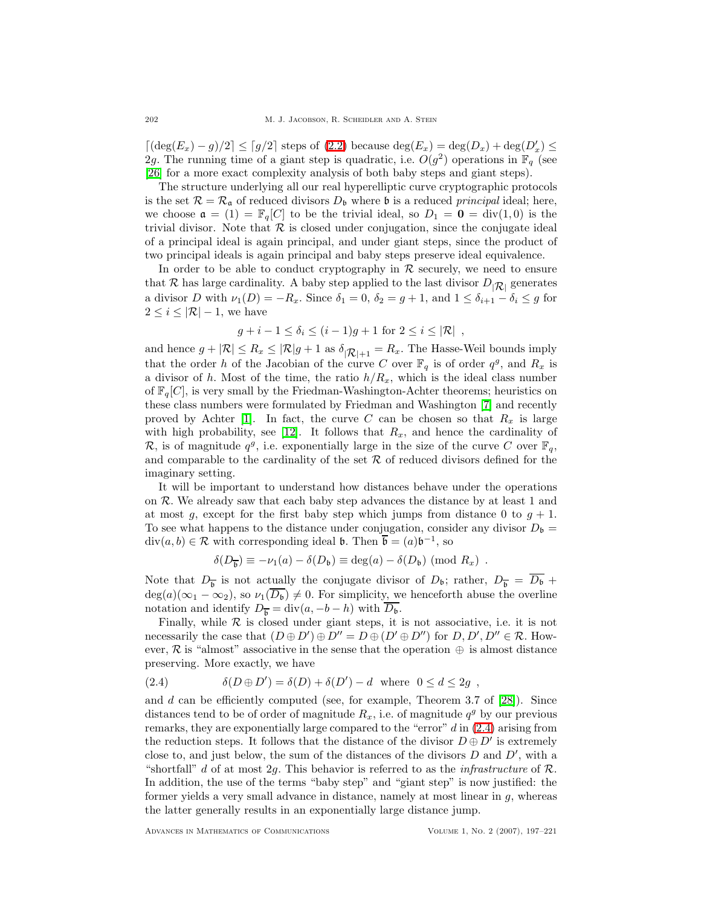[ $(\deg(E_x) - g)/2$ ] ≤ [g/2] steps of [\(2.2\)](#page-4-0) because  $\deg(E_x) = \deg(D_x) + \deg(D'_x)$  ≤ 2g. The running time of a giant step is quadratic, i.e.  $O(g^2)$  operations in  $\mathbb{F}_q$  (see [\[26\]](#page-24-6) for a more exact complexity analysis of both baby steps and giant steps).

The structure underlying all our real hyperelliptic curve cryptographic protocols is the set  $\mathcal{R} = \mathcal{R}_{\mathfrak{a}}$  of reduced divisors  $D_{\mathfrak{b}}$  where  $\mathfrak{b}$  is a reduced principal ideal; here, we choose  $\mathfrak{a} = (1) = \mathbb{F}_q[C]$  to be the trivial ideal, so  $D_1 = \mathbf{0} = \text{div}(1,0)$  is the trivial divisor. Note that  $R$  is closed under conjugation, since the conjugate ideal of a principal ideal is again principal, and under giant steps, since the product of two principal ideals is again principal and baby steps preserve ideal equivalence.

In order to be able to conduct cryptography in  $R$  securely, we need to ensure that R has large cardinality. A baby step applied to the last divisor  $D_{|\mathcal{R}|}$  generates a divisor D with  $\nu_1(D) = -R_x$ . Since  $\delta_1 = 0$ ,  $\delta_2 = g + 1$ , and  $1 \leq \delta_{i+1} - \delta_i \leq g$  for  $2 \leq i \leq |\mathcal{R}| - 1$ , we have

$$
g + i - 1 \le \delta_i \le (i - 1)g + 1 \text{ for } 2 \le i \le |\mathcal{R}|,
$$

and hence  $g + |\mathcal{R}| \leq R_x \leq |\mathcal{R}|g + 1$  as  $\delta_{|\mathcal{R}|+1} = R_x$ . The Hasse-Weil bounds imply that the order h of the Jacobian of the curve C over  $\mathbb{F}_q$  is of order  $q^g$ , and  $R_x$  is a divisor of h. Most of the time, the ratio  $h/R_x$ , which is the ideal class number of  $\mathbb{F}_q[C]$ , is very small by the Friedman-Washington-Achter theorems; heuristics on these class numbers were formulated by Friedman and Washington [\[7\]](#page-23-4) and recently proved by Achter [\[1\]](#page-23-5). In fact, the curve C can be chosen so that  $R_x$  is large with high probability, see [\[12\]](#page-24-10). It follows that  $R_x$ , and hence the cardinality of R, is of magnitude  $q^g$ , i.e. exponentially large in the size of the curve C over  $\mathbb{F}_q$ , and comparable to the cardinality of the set  $R$  of reduced divisors defined for the imaginary setting.

It will be important to understand how distances behave under the operations on R. We already saw that each baby step advances the distance by at least 1 and at most g, except for the first baby step which jumps from distance 0 to  $g + 1$ . To see what happens to the distance under conjugation, consider any divisor  $D_{\mathfrak{b}} =$  $\text{div}(a, b) \in \mathcal{R}$  with corresponding ideal **b**. Then  $\overline{\mathbf{b}} = (a)\mathbf{b}^{-1}$ , so

$$
\delta(D_{\overline{\mathbf{b}}}) \equiv -\nu_1(a) - \delta(D_{\mathbf{b}}) \equiv \deg(a) - \delta(D_{\mathbf{b}}) \pmod{R_x} .
$$

Note that  $D_{\overline{b}}$  is not actually the conjugate divisor of  $D_{\mathfrak{b}}$ ; rather,  $D_{\overline{b}} = D_{\mathfrak{b}} +$  $deg(a)(\infty_1 - \infty_2)$ , so  $\nu_1(D_b) \neq 0$ . For simplicity, we henceforth abuse the overline notation and identify  $D_{\overline{b}} = \text{div}(a, -b - h)$  with  $\overline{D_{b}}$ .

Finally, while  $R$  is closed under giant steps, it is not associative, i.e. it is not necessarily the case that  $(D \oplus D') \oplus D'' = D \oplus (D' \oplus D'')$  for  $D, D', D'' \in \mathcal{R}$ . However,  $\mathcal R$  is "almost" associative in the sense that the operation  $\oplus$  is almost distance preserving. More exactly, we have

<span id="page-5-0"></span>(2.4) 
$$
\delta(D \oplus D') = \delta(D) + \delta(D') - d \text{ where } 0 \le d \le 2g,
$$

and  $d$  can be efficiently computed (see, for example, Theorem 3.7 of [\[28\]](#page-24-13)). Since distances tend to be of order of magnitude  $R_x$ , i.e. of magnitude  $q^g$  by our previous remarks, they are exponentially large compared to the "error" d in [\(2.4\)](#page-5-0) arising from the reduction steps. It follows that the distance of the divisor  $D \oplus D'$  is extremely close to, and just below, the sum of the distances of the divisors  $D$  and  $D'$ , with a "shortfall" d of at most 2g. This behavior is referred to as the *infrastructure* of  $\mathcal{R}$ . In addition, the use of the terms "baby step" and "giant step" is now justified: the former yields a very small advance in distance, namely at most linear in  $q$ , whereas the latter generally results in an exponentially large distance jump.

Advances in Mathematics of Communications Volume 1, No. 2 (2007), 197–221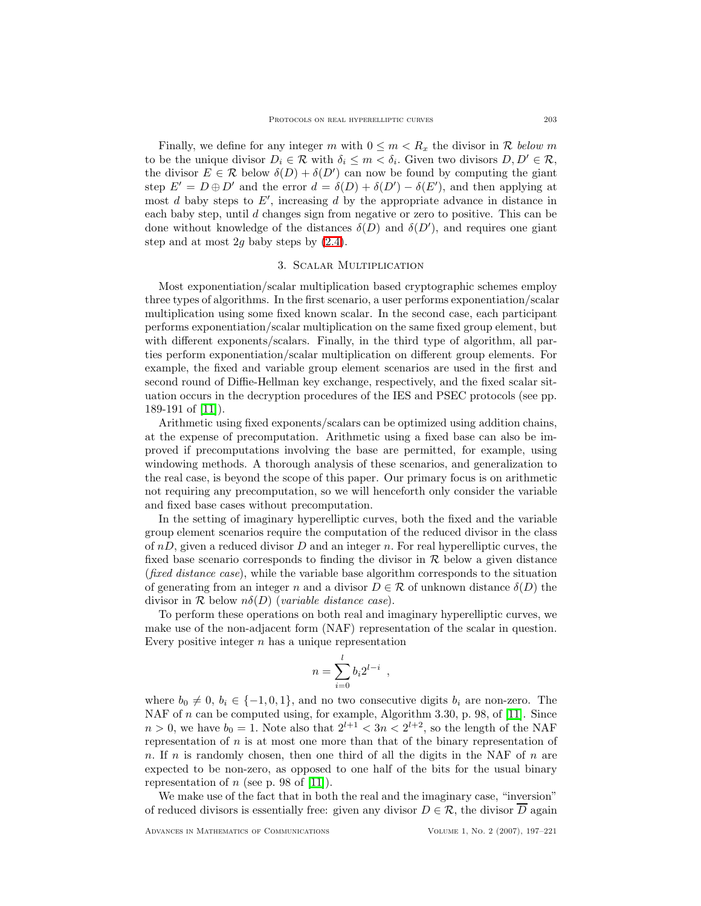Finally, we define for any integer m with  $0 \leq m < R_x$  the divisor in R below m to be the unique divisor  $D_i \in \mathcal{R}$  with  $\delta_i \leq m < \delta_i$ . Given two divisors  $D, D' \in \mathcal{R}$ , the divisor  $E \in \mathcal{R}$  below  $\delta(D) + \delta(D')$  can now be found by computing the giant step  $E' = D \oplus D'$  and the error  $d = \delta(D) + \delta(D') - \delta(E')$ , and then applying at most  $d$  baby steps to  $E'$ , increasing  $d$  by the appropriate advance in distance in each baby step, until  $d$  changes sign from negative or zero to positive. This can be done without knowledge of the distances  $\delta(D)$  and  $\delta(D')$ , and requires one giant step and at most 2q baby steps by  $(2.4)$ .

### 3. Scalar Multiplication

<span id="page-6-0"></span>Most exponentiation/scalar multiplication based cryptographic schemes employ three types of algorithms. In the first scenario, a user performs exponentiation/scalar multiplication using some fixed known scalar. In the second case, each participant performs exponentiation/scalar multiplication on the same fixed group element, but with different exponents/scalars. Finally, in the third type of algorithm, all parties perform exponentiation/scalar multiplication on different group elements. For example, the fixed and variable group element scenarios are used in the first and second round of Diffie-Hellman key exchange, respectively, and the fixed scalar situation occurs in the decryption procedures of the IES and PSEC protocols (see pp. 189-191 of [\[11\]](#page-24-14)).

Arithmetic using fixed exponents/scalars can be optimized using addition chains, at the expense of precomputation. Arithmetic using a fixed base can also be improved if precomputations involving the base are permitted, for example, using windowing methods. A thorough analysis of these scenarios, and generalization to the real case, is beyond the scope of this paper. Our primary focus is on arithmetic not requiring any precomputation, so we will henceforth only consider the variable and fixed base cases without precomputation.

In the setting of imaginary hyperelliptic curves, both the fixed and the variable group element scenarios require the computation of the reduced divisor in the class of  $nD$ , given a reduced divisor D and an integer n. For real hyperelliptic curves, the fixed base scenario corresponds to finding the divisor in  $R$  below a given distance (fixed distance case), while the variable base algorithm corresponds to the situation of generating from an integer n and a divisor  $D \in \mathcal{R}$  of unknown distance  $\delta(D)$  the divisor in  $\mathcal R$  below  $n\delta(D)$  (variable distance case).

To perform these operations on both real and imaginary hyperelliptic curves, we make use of the non-adjacent form (NAF) representation of the scalar in question. Every positive integer  $n$  has a unique representation

$$
n = \sum_{i=0}^{l} b_i 2^{l-i} ,
$$

where  $b_0 \neq 0, b_i \in \{-1, 0, 1\}$ , and no two consecutive digits  $b_i$  are non-zero. The NAF of *n* can be computed using, for example, Algorithm 3.30, p. 98, of [\[11\]](#page-24-14). Since  $n > 0$ , we have  $b_0 = 1$ . Note also that  $2^{l+1} < 3n < 2^{l+2}$ , so the length of the NAF representation of  $n$  is at most one more than that of the binary representation of n. If n is randomly chosen, then one third of all the digits in the NAF of  $n$  are expected to be non-zero, as opposed to one half of the bits for the usual binary representation of n (see p. 98 of [\[11\]](#page-24-14)).

We make use of the fact that in both the real and the imaginary case, "inversion" of reduced divisors is essentially free: given any divisor  $D \in \mathcal{R}$ , the divisor  $\overline{D}$  again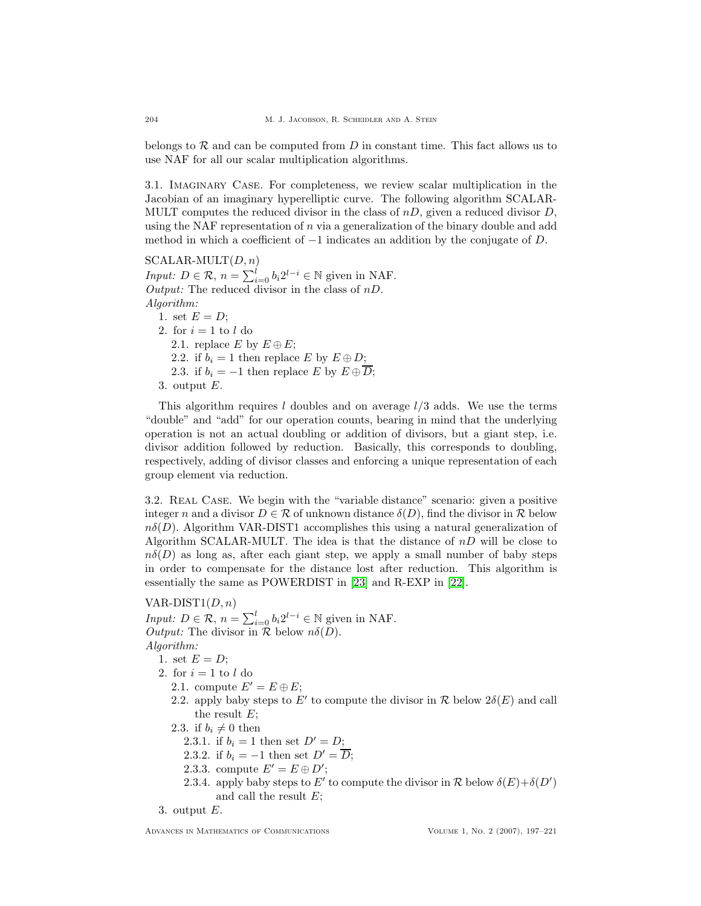belongs to  $R$  and can be computed from  $D$  in constant time. This fact allows us to use NAF for all our scalar multiplication algorithms.

3.1. Imaginary Case. For completeness, we review scalar multiplication in the Jacobian of an imaginary hyperelliptic curve. The following algorithm SCALAR-MULT computes the reduced divisor in the class of  $nD$ , given a reduced divisor D, using the NAF representation of n via a generalization of the binary double and add method in which a coefficient of  $-1$  indicates an addition by the conjugate of D.

 $\mathrm{SCALAR\text{-}MULT}(D, n)$ *Input:*  $D \in \mathcal{R}$ ,  $n = \sum_{i=0}^{l} b_i 2^{l-i} \in \mathbb{N}$  given in NAF. Output: The reduced divisor in the class of  $nD$ . Algorithm: 1. set  $E = D$ ;

2. for  $i = 1$  to l do 2.1. replace E by  $E \oplus E$ ; 2.2. if  $b_i = 1$  then replace E by  $E \oplus D$ ; 2.3. if  $b_i = -1$  then replace E by  $E \oplus \overline{D}$ ; 3. output E.

This algorithm requires l doubles and on average  $l/3$  adds. We use the terms "double" and "add" for our operation counts, bearing in mind that the underlying operation is not an actual doubling or addition of divisors, but a giant step, i.e. divisor addition followed by reduction. Basically, this corresponds to doubling, respectively, adding of divisor classes and enforcing a unique representation of each group element via reduction.

3.2. REAL CASE. We begin with the "variable distance" scenario: given a positive integer n and a divisor  $D \in \mathcal{R}$  of unknown distance  $\delta(D)$ , find the divisor in R below  $n\delta(D)$ . Algorithm VAR-DIST1 accomplishes this using a natural generalization of Algorithm SCALAR-MULT. The idea is that the distance of  $nD$  will be close to  $n\delta(D)$  as long as, after each giant step, we apply a small number of baby steps in order to compensate for the distance lost after reduction. This algorithm is essentially the same as POWERDIST in [\[23\]](#page-24-1) and R-EXP in [\[22\]](#page-24-2).

# VAR-DIST $1(D, n)$

*Input:*  $D \in \mathcal{R}$ ,  $n = \sum_{i=0}^{l} b_i 2^{l-i} \in \mathbb{N}$  given in NAF. Output: The divisor in  $\mathcal R$  below  $n\delta(D)$ . Algorithm:

- 1. set  $E = D$ ;
- 2. for  $i = 1$  to l do
	- 2.1. compute  $E' = E \oplus E$ ;
	- 2.2. apply baby steps to E' to compute the divisor in  $\mathcal R$  below  $2\delta(E)$  and call the result  $E$ ;
	- 2.3. if  $b_i \neq 0$  then
		- 2.3.1. if  $b_i = 1$  then set  $D' = D$ ;
		- 2.3.2. if  $b_i = -1$  then set  $D' = \overline{D}$ ;
		- 2.3.3. compute  $E' = E \oplus D'$ ;
		- 2.3.4. apply baby steps to  $E'$  to compute the divisor in  $\mathcal R$  below  $\delta(E)+\delta(D')$ and call the result E;

<sup>3.</sup> output E.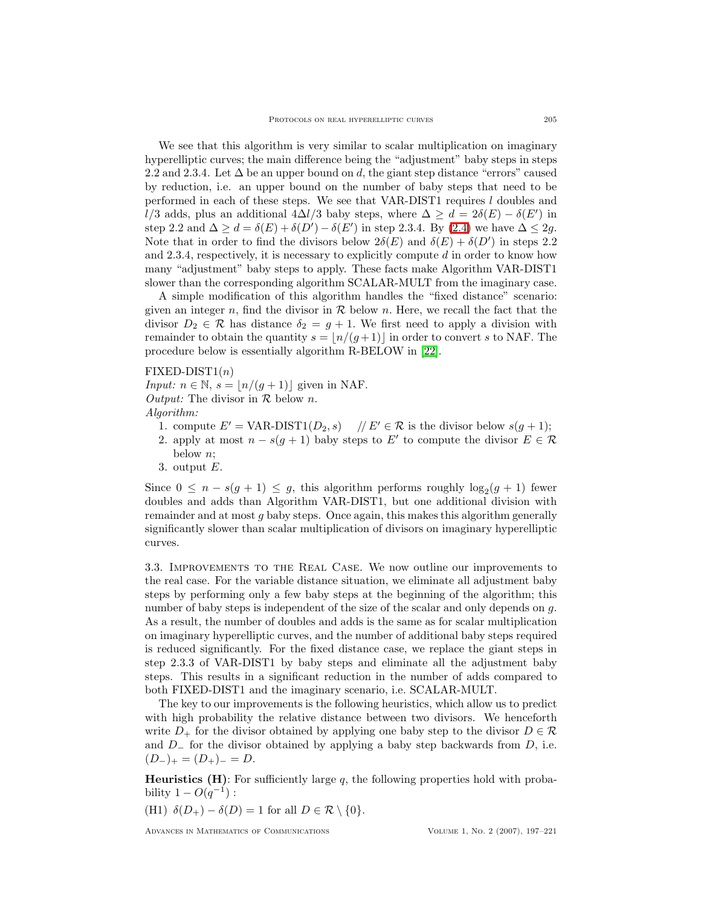We see that this algorithm is very similar to scalar multiplication on imaginary hyperelliptic curves; the main difference being the "adjustment" baby steps in steps 2.2 and 2.3.4. Let  $\Delta$  be an upper bound on d, the giant step distance "errors" caused by reduction, i.e. an upper bound on the number of baby steps that need to be performed in each of these steps. We see that  $VAR-DIST1$  requires  $l$  doubles and l/3 adds, plus an additional  $4\Delta l/3$  baby steps, where  $\Delta \geq d = 2\delta(E) - \delta(E')$  in step 2.2 and  $\Delta \geq d = \delta(E) + \delta(D') - \delta(E')$  in step 2.3.4. By [\(2.4\)](#page-5-0) we have  $\Delta \leq 2g$ . Note that in order to find the divisors below  $2\delta(E)$  and  $\delta(E) + \delta(D')$  in steps 2.2 and 2.3.4, respectively, it is necessary to explicitly compute d in order to know how many "adjustment" baby steps to apply. These facts make Algorithm VAR-DIST1 slower than the corresponding algorithm SCALAR-MULT from the imaginary case.

A simple modification of this algorithm handles the "fixed distance" scenario: given an integer n, find the divisor in  $R$  below n. Here, we recall the fact that the divisor  $D_2 \in \mathcal{R}$  has distance  $\delta_2 = g + 1$ . We first need to apply a division with remainder to obtain the quantity  $s = \lfloor n/(g+1) \rfloor$  in order to convert s to NAF. The procedure below is essentially algorithm R-BELOW in [\[22\]](#page-24-2).

## $\text{FIXED-DIST1}(n)$

Input:  $n \in \mathbb{N}$ ,  $s = \lfloor n/(g+1) \rfloor$  given in NAF. *Output:* The divisor in  $\mathcal{R}$  below *n*. Algorithm:

- 1. compute  $E' = \text{VAR-DIST1}(D_2, s)$  //  $E' \in \mathcal{R}$  is the divisor below  $s(g + 1);$
- 2. apply at most  $n s(g + 1)$  baby steps to E' to compute the divisor  $E \in \mathcal{R}$ below n;
- 3. output  $E$ .

Since  $0 \leq n - s(g + 1) \leq g$ , this algorithm performs roughly  $\log_2(g + 1)$  fewer doubles and adds than Algorithm VAR-DIST1, but one additional division with remainder and at most g baby steps. Once again, this makes this algorithm generally significantly slower than scalar multiplication of divisors on imaginary hyperelliptic curves.

<span id="page-8-0"></span>3.3. Improvements to the Real Case. We now outline our improvements to the real case. For the variable distance situation, we eliminate all adjustment baby steps by performing only a few baby steps at the beginning of the algorithm; this number of baby steps is independent of the size of the scalar and only depends on g. As a result, the number of doubles and adds is the same as for scalar multiplication on imaginary hyperelliptic curves, and the number of additional baby steps required is reduced significantly. For the fixed distance case, we replace the giant steps in step 2.3.3 of VAR-DIST1 by baby steps and eliminate all the adjustment baby steps. This results in a significant reduction in the number of adds compared to both FIXED-DIST1 and the imaginary scenario, i.e. SCALAR-MULT.

The key to our improvements is the following heuristics, which allow us to predict with high probability the relative distance between two divisors. We henceforth write  $D_+$  for the divisor obtained by applying one baby step to the divisor  $D \in \mathcal{R}$ and  $D_$  for the divisor obtained by applying a baby step backwards from  $D$ , i.e.  $(D_{-})_{+} = (D_{+})_{-} = D.$ 

**Heuristics (H)**: For sufficiently large q, the following properties hold with probability  $1 - O(q^{-1})$ :

(H1)  $\delta(D_+) - \delta(D) = 1$  for all  $D \in \mathcal{R} \setminus \{0\}.$ 

Advances in Mathematics of Communications Volume 1, No. 2 (2007), 197–221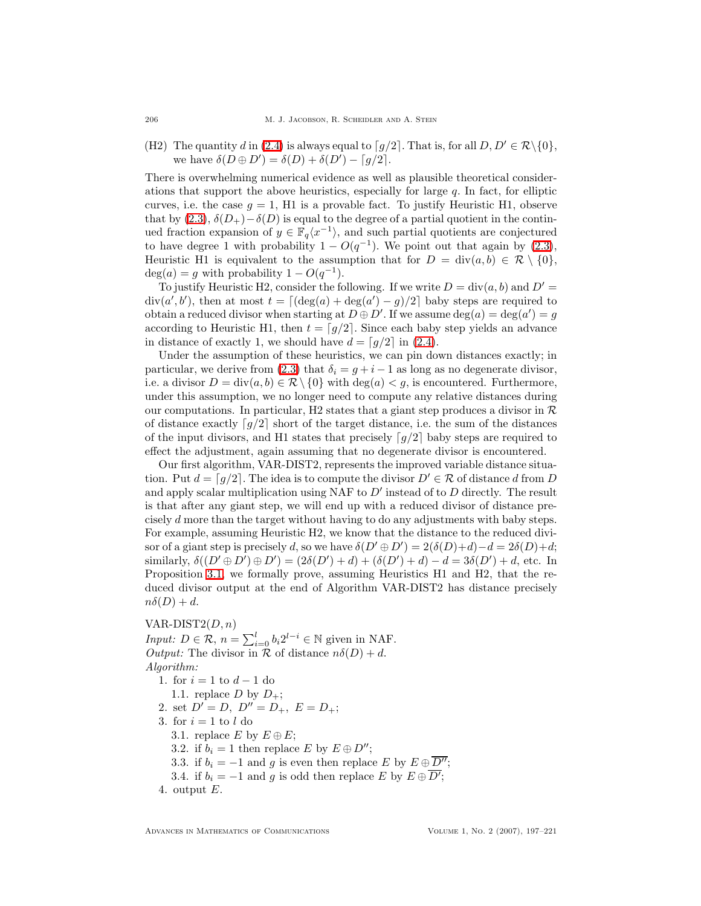206 M. J. JACOBSON, R. SCHEIDLER AND A. STEIN

(H2) The quantity d in [\(2.4\)](#page-5-0) is always equal to  $\lceil q/2 \rceil$ . That is, for all  $D, D' \in \mathcal{R} \setminus \{0\}$ , we have  $\delta(D \oplus D') = \delta(D) + \delta(D') - \lceil g/2 \rceil$ .

There is overwhelming numerical evidence as well as plausible theoretical considerations that support the above heuristics, especially for large  $q$ . In fact, for elliptic curves, i.e. the case  $g = 1$ , H1 is a provable fact. To justify Heuristic H1, observe that by  $(2.3)$ ,  $\delta(D_+)$  –  $\delta(D)$  is equal to the degree of a partial quotient in the continued fraction expansion of  $y \in \mathbb{F}_q\langle x^{-1} \rangle$ , and such partial quotients are conjectured to have degree 1 with probability  $1 - O(q^{-1})$ . We point out that again by [\(2.3\)](#page-4-1), Heuristic H1 is equivalent to the assumption that for  $D = \text{div}(a, b) \in \mathcal{R} \setminus \{0\},\$  $deg(a) = g$  with probability  $1 - O(q^{-1})$ .

To justify Heuristic H2, consider the following. If we write  $D = \text{div}(a, b)$  and  $D' =$ div(a', b'), then at most  $t = \lfloor (\deg(a) + \deg(a') - g)/2 \rfloor$  baby steps are required to obtain a reduced divisor when starting at  $D \oplus D'$ . If we assume  $deg(a) = deg(a') = g$ according to Heuristic H1, then  $t = \lceil g/2 \rceil$ . Since each baby step yields an advance in distance of exactly 1, we should have  $d = \lfloor g/2 \rfloor$  in [\(2.4\)](#page-5-0).

Under the assumption of these heuristics, we can pin down distances exactly; in particular, we derive from [\(2.3\)](#page-4-1) that  $\delta_i = g + i - 1$  as long as no degenerate divisor, i.e. a divisor  $D = \text{div}(a, b) \in \mathcal{R} \setminus \{0\}$  with  $\text{deg}(a) < q$ , is encountered. Furthermore, under this assumption, we no longer need to compute any relative distances during our computations. In particular, H2 states that a giant step produces a divisor in  $\mathcal{R}$ of distance exactly  $[g/2]$  short of the target distance, i.e. the sum of the distances of the input divisors, and H1 states that precisely  $\lceil q/2 \rceil$  baby steps are required to effect the adjustment, again assuming that no degenerate divisor is encountered.

Our first algorithm, VAR-DIST2, represents the improved variable distance situation. Put  $d = \lceil g/2 \rceil$ . The idea is to compute the divisor  $D' \in \mathcal{R}$  of distance d from D and apply scalar multiplication using NAF to  $D'$  instead of to  $D$  directly. The result is that after any giant step, we will end up with a reduced divisor of distance precisely d more than the target without having to do any adjustments with baby steps. For example, assuming Heuristic H2, we know that the distance to the reduced divisor of a giant step is precisely d, so we have  $\delta(D' \oplus D') = 2(\delta(D)+d)-d = 2\delta(D)+d;$ similarly,  $\delta((D' \oplus D') \oplus D') = (2\delta(D') + d) + (\delta(D') + d) - d = 3\delta(D') + d$ , etc. In Proposition [3.1,](#page-9-0) we formally prove, assuming Heuristics H1 and H2, that the reduced divisor output at the end of Algorithm VAR-DIST2 has distance precisely  $n\delta(D) + d$ .

VAR-DIST $2(D, n)$ *Input:*  $D \in \mathcal{R}$ ,  $n = \sum_{i=0}^{l} b_i 2^{l-i} \in \mathbb{N}$  given in NAF. *Output:* The divisor in  $\mathcal R$  of distance  $n\delta(D) + d$ . Algorithm:

- 1. for  $i = 1$  to  $d 1$  do
- 1.1. replace D by  $D_{+}$ ;
- 2. set  $D' = D$ ,  $D'' = D_+$ ,  $E = D_+$ ;
- 3. for  $i = 1$  to l do
	- 3.1. replace E by  $E \oplus E$ ;
	- 3.2. if  $b_i = 1$  then replace E by  $E \oplus D''$ ;
	- 3.3. if  $b_i = -1$  and g is even then replace E by  $E \oplus \overline{D''}$ ;
	- 3.4. if  $b_i = -1$  and g is odd then replace E by  $E \oplus \overline{D'}$ ;
- <span id="page-9-0"></span>4. output  $E$ .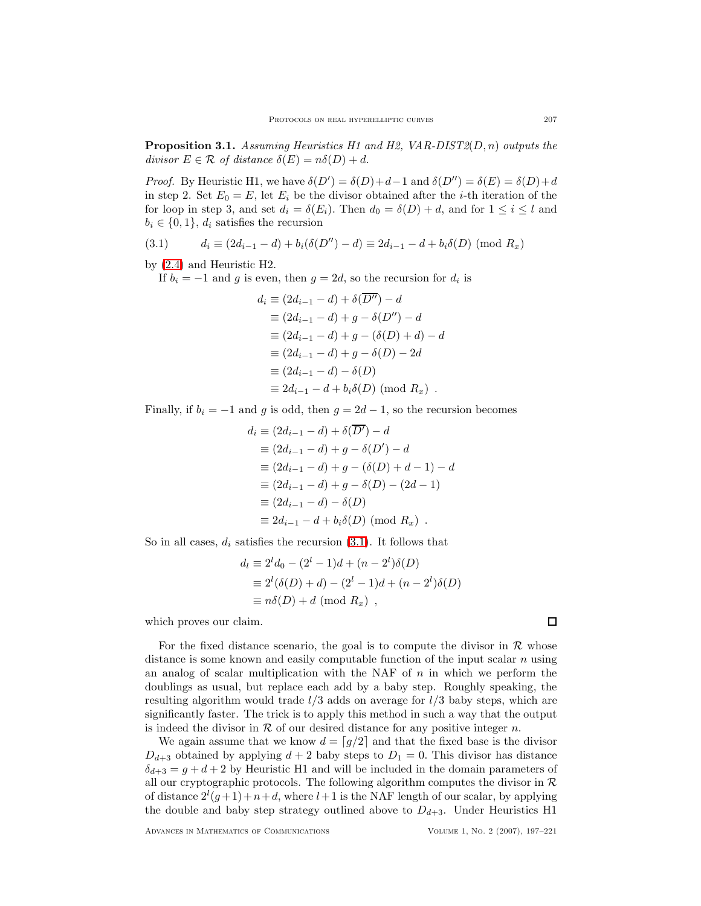**Proposition 3.1.** Assuming Heuristics H1 and H2,  $VAR-DIST2(D, n)$  outputs the divisor  $E \in \mathcal{R}$  of distance  $\delta(E) = n\delta(D) + d$ .

*Proof.* By Heuristic H1, we have  $\delta(D') = \delta(D) + d - 1$  and  $\delta(D'') = \delta(E) = \delta(D) + d$ in step 2. Set  $E_0 = E$ , let  $E_i$  be the divisor obtained after the *i*-th iteration of the for loop in step 3, and set  $d_i = \delta(E_i)$ . Then  $d_0 = \delta(D) + d$ , and for  $1 \leq i \leq l$  and  $b_i \in \{0,1\}, d_i$  satisfies the recursion

<span id="page-10-0"></span>(3.1) 
$$
d_i \equiv (2d_{i-1} - d) + b_i(\delta(D'') - d) \equiv 2d_{i-1} - d + b_i\delta(D) \pmod{R_x}
$$

by [\(2.4\)](#page-5-0) and Heuristic H2.

If  $b_i = -1$  and g is even, then  $g = 2d$ , so the recursion for  $d_i$  is

$$
d_i \equiv (2d_{i-1} - d) + \delta(\overline{D''}) - d
$$
  
\n
$$
\equiv (2d_{i-1} - d) + g - \delta(D'') - d
$$
  
\n
$$
\equiv (2d_{i-1} - d) + g - (\delta(D) + d) - d
$$
  
\n
$$
\equiv (2d_{i-1} - d) + g - \delta(D) - 2d
$$
  
\n
$$
\equiv (2d_{i-1} - d) - \delta(D)
$$
  
\n
$$
\equiv 2d_{i-1} - d + b_i\delta(D) \pmod{R_x} .
$$

Finally, if  $b_i = -1$  and g is odd, then  $g = 2d - 1$ , so the recursion becomes

$$
d_i \equiv (2d_{i-1} - d) + \delta(\overline{D'}) - d
$$
  
\n
$$
\equiv (2d_{i-1} - d) + g - \delta(D') - d
$$
  
\n
$$
\equiv (2d_{i-1} - d) + g - (\delta(D) + d - 1) - d
$$
  
\n
$$
\equiv (2d_{i-1} - d) + g - \delta(D) - (2d - 1)
$$
  
\n
$$
\equiv (2d_{i-1} - d) - \delta(D)
$$
  
\n
$$
\equiv 2d_{i-1} - d + b_i\delta(D) \pmod{R_x} .
$$

So in all cases,  $d_i$  satisfies the recursion  $(3.1)$ . It follows that

$$
d_l \equiv 2^l d_0 - (2^l - 1)d + (n - 2^l)\delta(D)
$$
  
\n
$$
\equiv 2^l (\delta(D) + d) - (2^l - 1)d + (n - 2^l)\delta(D)
$$
  
\n
$$
\equiv n\delta(D) + d \pmod{R_x},
$$

which proves our claim.

For the fixed distance scenario, the goal is to compute the divisor in  $\mathcal R$  whose distance is some known and easily computable function of the input scalar  $n$  using an analog of scalar multiplication with the NAF of  $n$  in which we perform the doublings as usual, but replace each add by a baby step. Roughly speaking, the resulting algorithm would trade  $l/3$  adds on average for  $l/3$  baby steps, which are significantly faster. The trick is to apply this method in such a way that the output is indeed the divisor in  $R$  of our desired distance for any positive integer n.

We again assume that we know  $d = \lfloor g/2 \rfloor$  and that the fixed base is the divisor  $D_{d+3}$  obtained by applying  $d+2$  baby steps to  $D_1 = 0$ . This divisor has distance  $\delta_{d+3} = g + d + 2$  by Heuristic H1 and will be included in the domain parameters of all our cryptographic protocols. The following algorithm computes the divisor in  $R$ of distance  $2^{l}(g+1)+n+d$ , where  $l+1$  is the NAF length of our scalar, by applying the double and baby step strategy outlined above to  $D_{d+3}$ . Under Heuristics H1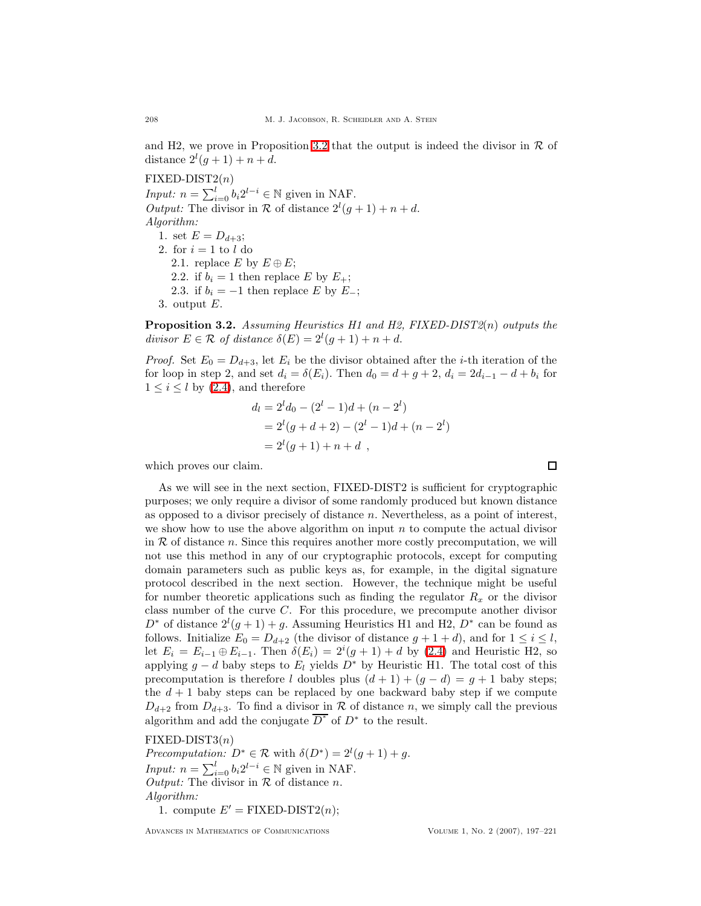and H2, we prove in Proposition [3.2](#page-11-0) that the output is indeed the divisor in  $\mathcal R$  of distance  $2^l(g+1)+n+d$ .

 $\text{FIXED-DIST2}(n)$ 

*Input:*  $n = \sum_{i=0}^{l} b_i 2^{l-i} \in \mathbb{N}$  given in NAF. Output: The divisor in  $\mathcal R$  of distance  $2^l(g+1)+n+d$ . Algorithm: 1. set  $E = D_{d+3}$ ;

2. for  $i = 1$  to l do 2.1. replace E by  $E \oplus E$ ; 2.2. if  $b_i = 1$  then replace E by  $E_+$ ; 2.3. if  $b_i = -1$  then replace E by E<sub>-</sub>; 3. output  $E$ .

<span id="page-11-0"></span>**Proposition 3.2.** Assuming Heuristics H1 and H2,  $FIXED-DIST2(n)$  outputs the divisor  $E \in \mathcal{R}$  of distance  $\delta(E) = 2^l(g+1) + n + d$ .

*Proof.* Set  $E_0 = D_{d+3}$ , let  $E_i$  be the divisor obtained after the *i*-th iteration of the for loop in step 2, and set  $d_i = \delta(E_i)$ . Then  $d_0 = d + g + 2$ ,  $d_i = 2d_{i-1} - d + b_i$  for  $1 \leq i \leq l$  by [\(2.4\)](#page-5-0), and therefore

$$
d_l = 2^l d_0 - (2^l - 1)d + (n - 2^l)
$$
  
= 2<sup>l</sup>(g + d + 2) - (2<sup>l</sup> - 1)d + (n - 2<sup>l</sup>)  
= 2<sup>l</sup>(g + 1) + n + d,

which proves our claim.

As we will see in the next section, FIXED-DIST2 is sufficient for cryptographic purposes; we only require a divisor of some randomly produced but known distance as opposed to a divisor precisely of distance  $n$ . Nevertheless, as a point of interest, we show how to use the above algorithm on input  $n$  to compute the actual divisor in  $R$  of distance  $n$ . Since this requires another more costly precomputation, we will not use this method in any of our cryptographic protocols, except for computing domain parameters such as public keys as, for example, in the digital signature protocol described in the next section. However, the technique might be useful for number theoretic applications such as finding the regulator  $R_x$  or the divisor class number of the curve C. For this procedure, we precompute another divisor  $D^*$  of distance  $2^l(g+1)+g$ . Assuming Heuristics H1 and H2,  $D^*$  can be found as follows. Initialize  $E_0 = D_{d+2}$  (the divisor of distance  $g + 1 + d$ ), and for  $1 \leq i \leq l$ , let  $E_i = E_{i-1} \oplus E_{i-1}$ . Then  $\delta(E_i) = 2^i(g+1) + d$  by [\(2.4\)](#page-5-0) and Heuristic H2, so applying  $g - d$  baby steps to  $E_l$  yields  $D^*$  by Heuristic H1. The total cost of this precomputation is therefore l doubles plus  $(d + 1) + (g - d) = g + 1$  baby steps; the  $d + 1$  baby steps can be replaced by one backward baby step if we compute  $D_{d+2}$  from  $D_{d+3}$ . To find a divisor in R of distance n, we simply call the previous algorithm and add the conjugate  $\overline{D^*}$  of  $D^*$  to the result.

#### $\text{FIXED-DIST3}(n)$

Precomputation:  $D^* \in \mathcal{R}$  with  $\delta(D^*) = 2^l(g+1) + g$ . *Input:*  $n = \sum_{i=0}^{l} b_i 2^{l-i} \in \mathbb{N}$  given in NAF. Output: The divisor in  $R$  of distance n. Algorithm:

1. compute  $E' = \text{FIXED-DIST2}(n);$ 

Advances in Mathematics of Communications Volume 1, No. 2 (2007), 197–221

 $\Box$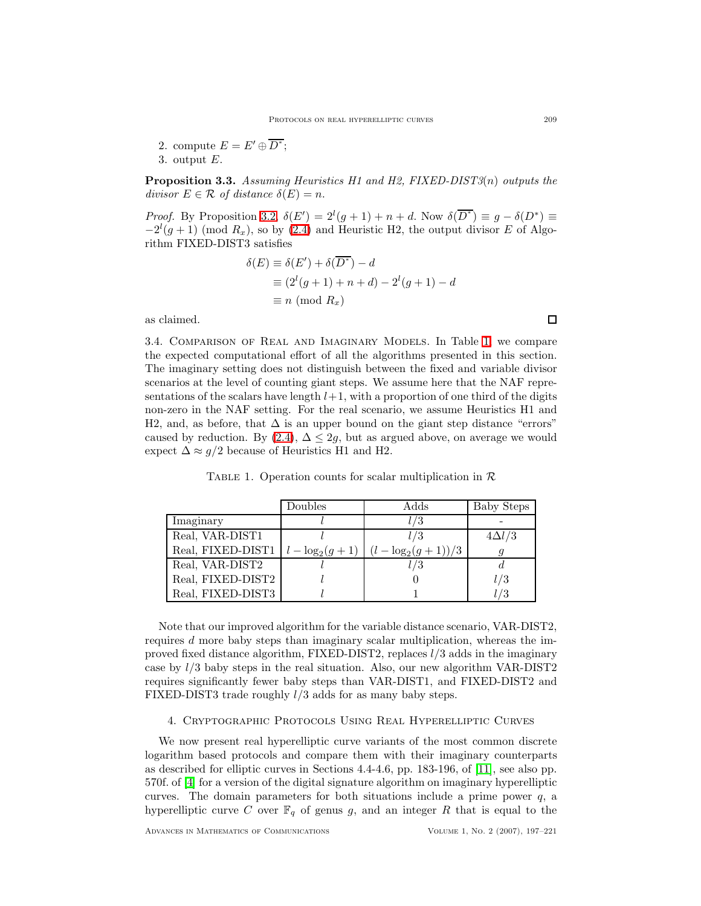- 2. compute  $E = E' \oplus \overline{D^*};$
- 3. output E.

Proposition 3.3. Assuming Heuristics H1 and H2, FIXED-DIST3(n) outputs the divisor  $E \in \mathcal{R}$  of distance  $\delta(E) = n$ .

Proof. By Proposition [3.2,](#page-11-0)  $\delta(E') = 2^l(g+1) + n + d$ . Now  $\delta(\overline{D^*}) \equiv g - \delta(D^*) \equiv$  $-2^{l}(g+1) \pmod{R_x}$ , so by [\(2.4\)](#page-5-0) and Heuristic H2, the output divisor E of Algorithm FIXED-DIST3 satisfies

$$
\delta(E) \equiv \delta(E') + \delta(\overline{D^*}) - d
$$
  
\n
$$
\equiv (2^l(g+1) + n + d) - 2^l(g+1) - d
$$
  
\n
$$
\equiv n \pmod{R_x}
$$

<span id="page-12-2"></span>as claimed.

3.4. Comparison of Real and Imaginary Models. In Table [1,](#page-12-1) we compare the expected computational effort of all the algorithms presented in this section. The imaginary setting does not distinguish between the fixed and variable divisor scenarios at the level of counting giant steps. We assume here that the NAF representations of the scalars have length  $l+1$ , with a proportion of one third of the digits non-zero in the NAF setting. For the real scenario, we assume Heuristics H1 and H2, and, as before, that  $\Delta$  is an upper bound on the giant step distance "errors" caused by reduction. By  $(2.4)$ ,  $\Delta \leq 2g$ , but as argued above, on average we would expect  $\Delta \approx g/2$  because of Heuristics H1 and H2.

TABLE 1. Operation counts for scalar multiplication in  $\mathcal R$ 

<span id="page-12-1"></span>

|                                      | Doubles | Adds                    | Baby Steps    |
|--------------------------------------|---------|-------------------------|---------------|
| Imaginary                            |         | l/3                     |               |
| Real, VAR-DIST1                      |         |                         | $4\Delta l/3$ |
| Real, FIXED-DIST1 $l - log_2(g + 1)$ |         | $(l - \log_2(g + 1))/3$ |               |
| Real, VAR-DIST2                      |         | 1/3                     |               |
| Real, FIXED-DIST2                    |         |                         | l/3           |
| Real, FIXED-DIST3                    |         |                         | l/3           |

Note that our improved algorithm for the variable distance scenario, VAR-DIST2, requires d more baby steps than imaginary scalar multiplication, whereas the improved fixed distance algorithm, FIXED-DIST2, replaces l/3 adds in the imaginary case by  $l/3$  baby steps in the real situation. Also, our new algorithm VAR-DIST2 requires significantly fewer baby steps than VAR-DIST1, and FIXED-DIST2 and FIXED-DIST3 trade roughly l/3 adds for as many baby steps.

### 4. Cryptographic Protocols Using Real Hyperelliptic Curves

<span id="page-12-0"></span>We now present real hyperelliptic curve variants of the most common discrete logarithm based protocols and compare them with their imaginary counterparts as described for elliptic curves in Sections 4.4-4.6, pp. 183-196, of [\[11\]](#page-24-14), see also pp. 570f. of [\[4\]](#page-23-6) for a version of the digital signature algorithm on imaginary hyperelliptic curves. The domain parameters for both situations include a prime power  $q$ , a hyperelliptic curve C over  $\mathbb{F}_q$  of genus g, and an integer R that is equal to the

 $\Box$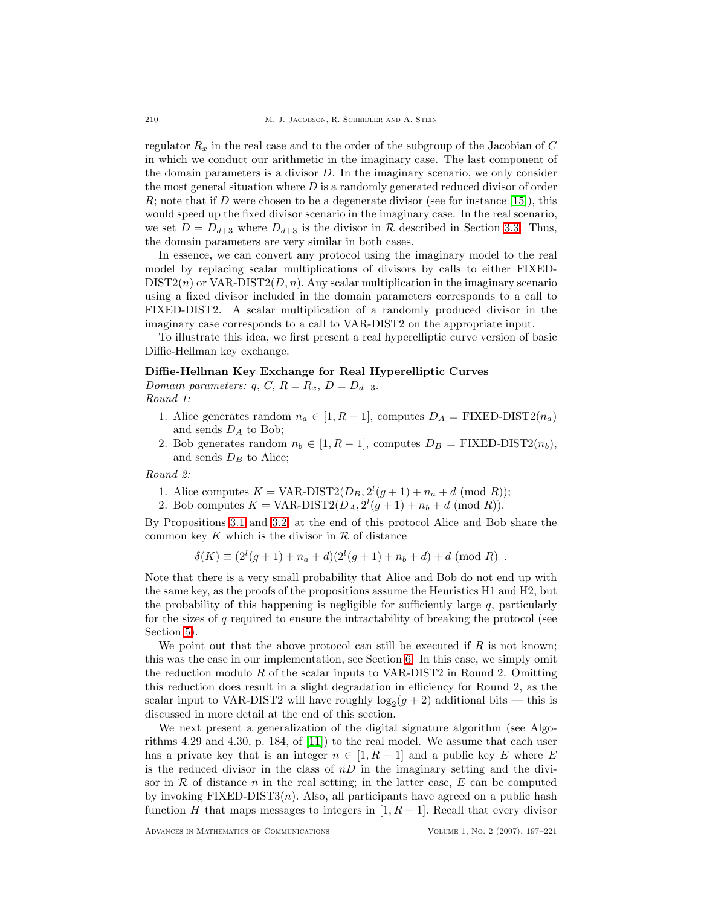regulator  $R_x$  in the real case and to the order of the subgroup of the Jacobian of C in which we conduct our arithmetic in the imaginary case. The last component of the domain parameters is a divisor D. In the imaginary scenario, we only consider the most general situation where  $D$  is a randomly generated reduced divisor of order R; note that if D were chosen to be a degenerate divisor (see for instance [\[15\]](#page-24-15)), this would speed up the fixed divisor scenario in the imaginary case. In the real scenario, we set  $D = D_{d+3}$  where  $D_{d+3}$  is the divisor in R described in Section [3.3.](#page-8-0) Thus, the domain parameters are very similar in both cases.

In essence, we can convert any protocol using the imaginary model to the real model by replacing scalar multiplications of divisors by calls to either FIXED- $DIST2(n)$  or  $VAR-DIST2(D, n)$ . Any scalar multiplication in the imaginary scenario using a fixed divisor included in the domain parameters corresponds to a call to FIXED-DIST2. A scalar multiplication of a randomly produced divisor in the imaginary case corresponds to a call to VAR-DIST2 on the appropriate input.

To illustrate this idea, we first present a real hyperelliptic curve version of basic Diffie-Hellman key exchange.

# Diffie-Hellman Key Exchange for Real Hyperelliptic Curves

Domain parameters: q, C,  $R = R_x$ ,  $D = D_{d+3}$ . Round 1:

- 1. Alice generates random  $n_a \in [1, R-1]$ , computes  $D_A = \text{FIXED-DIST2}(n_a)$ and sends  $D_A$  to Bob;
- 2. Bob generates random  $n_b \in [1, R-1]$ , computes  $D_B = \text{FIXED-DIST2}(n_b)$ , and sends  $D_B$  to Alice;

Round 2:

- 1. Alice computes  $K = \text{VAR-DIST2}(D_B, 2^l(g+1) + n_a + d \pmod{R});$
- 2. Bob computes  $K = \text{VAR-DIST2}(D_A, 2^l(g+1) + n_b + d \pmod{R}).$

By Propositions [3.1](#page-9-0) and [3.2,](#page-11-0) at the end of this protocol Alice and Bob share the common key K which is the divisor in  $\mathcal R$  of distance

$$
\delta(K) \equiv (2^{l}(g+1) + n_a + d)(2^{l}(g+1) + n_b + d) + d \pmod{R} .
$$

Note that there is a very small probability that Alice and Bob do not end up with the same key, as the proofs of the propositions assume the Heuristics H1 and H2, but the probability of this happening is negligible for sufficiently large  $q$ , particularly for the sizes of q required to ensure the intractability of breaking the protocol (see Section [5\)](#page-15-0).

We point out that the above protocol can still be executed if  $R$  is not known; this was the case in our implementation, see Section [6.](#page-16-0) In this case, we simply omit the reduction modulo R of the scalar inputs to VAR-DIST2 in Round 2. Omitting this reduction does result in a slight degradation in efficiency for Round 2, as the scalar input to VAR-DIST2 will have roughly  $log_2(g + 2)$  additional bits — this is discussed in more detail at the end of this section.

We next present a generalization of the digital signature algorithm (see Algorithms 4.29 and 4.30, p. 184, of [\[11\]](#page-24-14)) to the real model. We assume that each user has a private key that is an integer  $n \in [1, R-1]$  and a public key E where E is the reduced divisor in the class of  $nD$  in the imaginary setting and the divisor in  $\mathcal R$  of distance n in the real setting; in the latter case,  $E$  can be computed by invoking  $\text{FIXED-DIST3}(n)$ . Also, all participants have agreed on a public hash function H that maps messages to integers in [1,  $R-1$ ]. Recall that every divisor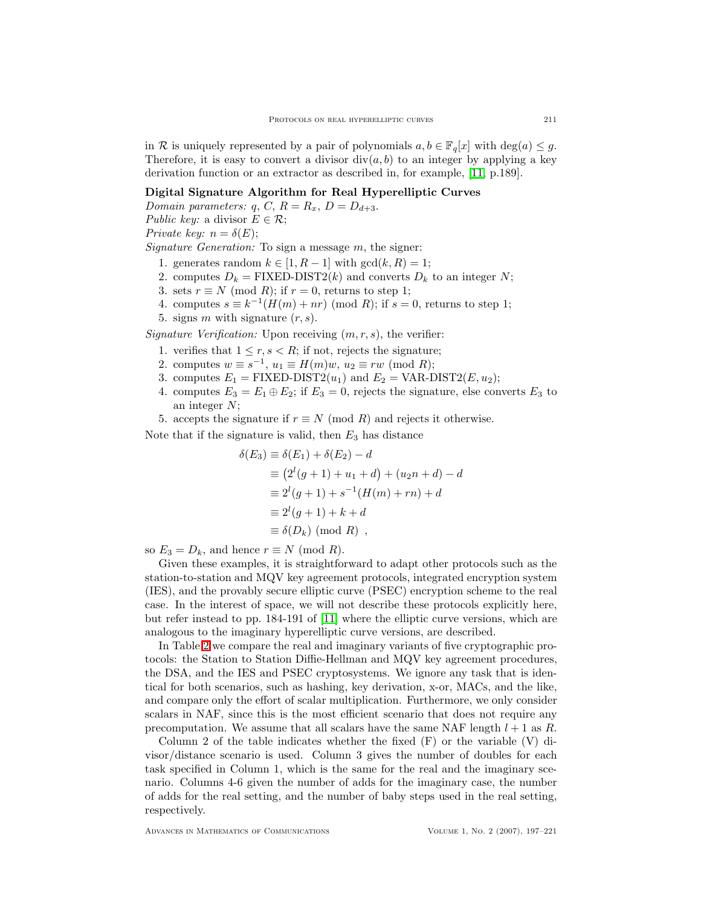in R is uniquely represented by a pair of polynomials  $a, b \in \mathbb{F}_q[x]$  with  $\deg(a) \leq q$ . Therefore, it is easy to convert a divisor  $div(a, b)$  to an integer by applying a key derivation function or an extractor as described in, for example, [\[11,](#page-24-14) p.189].

## Digital Signature Algorithm for Real Hyperelliptic Curves

Domain parameters:  $q, C, R = R_x, D = D_{d+3}$ . Public key: a divisor  $E \in \mathcal{R}$ ;

Private key:  $n = \delta(E)$ ;

Signature Generation: To sign a message m, the signer:

- 1. generates random  $k \in [1, R-1]$  with  $gcd(k, R) = 1$ ;
- 2. computes  $D_k = \text{FIXED-DIST2}(k)$  and converts  $D_k$  to an integer N;
- 3. sets  $r \equiv N \pmod{R}$ ; if  $r = 0$ , returns to step 1;
- 4. computes  $s \equiv k^{-1}(H(m) + nr) \pmod{R}$ ; if  $s = 0$ , returns to step 1;
- 5. signs m with signature  $(r, s)$ .

Signature Verification: Upon receiving  $(m, r, s)$ , the verifier:

- 1. verifies that  $1 \leq r, s < R$ ; if not, rejects the signature;
- 2. computes  $w \equiv s^{-1}$ ,  $u_1 \equiv H(m)w$ ,  $u_2 \equiv rw \pmod{R}$ ;
- 3. computes  $E_1 = \text{FIXED-DIST2}(u_1)$  and  $E_2 = \text{VAR-DIST2}(E, u_2);$
- 4. computes  $E_3 = E_1 \oplus E_2$ ; if  $E_3 = 0$ , rejects the signature, else converts  $E_3$  to an integer N;
- 5. accepts the signature if  $r \equiv N \pmod{R}$  and rejects it otherwise.

Note that if the signature is valid, then  $E_3$  has distance

$$
\delta(E_3) \equiv \delta(E_1) + \delta(E_2) - d
$$
  
\n
$$
\equiv (2^l(g+1) + u_1 + d) + (u_2n + d) - d
$$
  
\n
$$
\equiv 2^l(g+1) + s^{-1}(H(m) + rn) + d
$$
  
\n
$$
\equiv 2^l(g+1) + k + d
$$
  
\n
$$
\equiv \delta(D_k) \pmod{R},
$$

so  $E_3 = D_k$ , and hence  $r \equiv N \pmod{R}$ .

Given these examples, it is straightforward to adapt other protocols such as the station-to-station and MQV key agreement protocols, integrated encryption system (IES), and the provably secure elliptic curve (PSEC) encryption scheme to the real case. In the interest of space, we will not describe these protocols explicitly here, but refer instead to pp. 184-191 of [\[11\]](#page-24-14) where the elliptic curve versions, which are analogous to the imaginary hyperelliptic curve versions, are described.

In Table [2](#page-15-1) we compare the real and imaginary variants of five cryptographic protocols: the Station to Station Diffie-Hellman and MQV key agreement procedures, the DSA, and the IES and PSEC cryptosystems. We ignore any task that is identical for both scenarios, such as hashing, key derivation, x-or, MACs, and the like, and compare only the effort of scalar multiplication. Furthermore, we only consider scalars in NAF, since this is the most efficient scenario that does not require any precomputation. We assume that all scalars have the same NAF length  $l + 1$  as R.

Column 2 of the table indicates whether the fixed  $(F)$  or the variable  $(V)$  divisor/distance scenario is used. Column 3 gives the number of doubles for each task specified in Column 1, which is the same for the real and the imaginary scenario. Columns 4-6 given the number of adds for the imaginary case, the number of adds for the real setting, and the number of baby steps used in the real setting, respectively.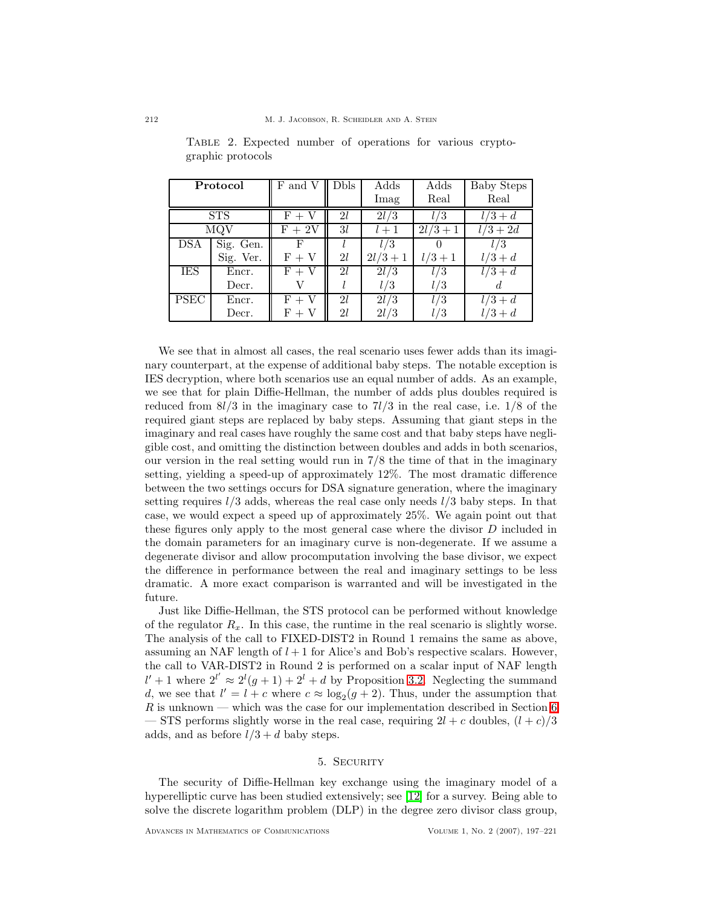|                          | Protocol   | $\rm F$ and $\rm V$ | <b>Dbls</b> | Adds       | Adds      | <b>Baby Steps</b> |
|--------------------------|------------|---------------------|-------------|------------|-----------|-------------------|
|                          |            |                     |             | Imag       | Real      | Real              |
|                          | <b>STS</b> | V<br>$F +$          | 2l          | 2l/3       | l / 3     | $l/3+d$           |
|                          | MQV        | $F + 2V$            | 3l          | $l+1$      | $2l/3+1$  | $l/3+2d$          |
| <b>DSA</b>               | Sig. Gen.  | Ь,                  |             | 1/3        |           | l/3               |
|                          | Sig. Ver.  | $F + V$             | 2l          | $2l/3 + 1$ | $l/3 + 1$ | $l/3+d$           |
| IES                      | Encr.      | $F + V$             | 2l          | 2l/3       | l/3       | $l/3+d$           |
|                          | Decr.      |                     |             | l / 3      | l / 3     |                   |
| $\overline{\text{PSEC}}$ | Encr.      | $F + V$             | 21          | 2l/3       | l/3       | $l/3+d$           |
|                          | Decr.      | $F +$               | 21          | 2l/3       | l/3       | $l/3+d$           |

<span id="page-15-1"></span>Table 2. Expected number of operations for various cryptographic protocols

We see that in almost all cases, the real scenario uses fewer adds than its imaginary counterpart, at the expense of additional baby steps. The notable exception is IES decryption, where both scenarios use an equal number of adds. As an example, we see that for plain Diffie-Hellman, the number of adds plus doubles required is reduced from  $8l/3$  in the imaginary case to  $7l/3$  in the real case, i.e.  $1/8$  of the required giant steps are replaced by baby steps. Assuming that giant steps in the imaginary and real cases have roughly the same cost and that baby steps have negligible cost, and omitting the distinction between doubles and adds in both scenarios, our version in the real setting would run in 7/8 the time of that in the imaginary setting, yielding a speed-up of approximately 12%. The most dramatic difference between the two settings occurs for DSA signature generation, where the imaginary setting requires  $l/3$  adds, whereas the real case only needs  $l/3$  baby steps. In that case, we would expect a speed up of approximately 25%. We again point out that these figures only apply to the most general case where the divisor D included in the domain parameters for an imaginary curve is non-degenerate. If we assume a degenerate divisor and allow procomputation involving the base divisor, we expect the difference in performance between the real and imaginary settings to be less dramatic. A more exact comparison is warranted and will be investigated in the future.

Just like Diffie-Hellman, the STS protocol can be performed without knowledge of the regulator  $R_x$ . In this case, the runtime in the real scenario is slightly worse. The analysis of the call to FIXED-DIST2 in Round 1 remains the same as above, assuming an NAF length of  $l + 1$  for Alice's and Bob's respective scalars. However, the call to VAR-DIST2 in Round 2 is performed on a scalar input of NAF length  $l' + 1$  where  $2^{l'} \approx 2^{l}(g + 1) + 2^{l} + d$  by Proposition [3.2.](#page-11-0) Neglecting the summand d, we see that  $l' = l + c$  where  $c \approx \log_2(g + 2)$ . Thus, under the assumption that R is unknown — which was the case for our implementation described in Section [6](#page-16-0) — STS performs slightly worse in the real case, requiring  $2l + c$  doubles,  $(l + c)/3$ adds, and as before  $l/3 + d$  baby steps.

# 5. SECURITY

<span id="page-15-0"></span>The security of Diffie-Hellman key exchange using the imaginary model of a hyperelliptic curve has been studied extensively; see [\[12\]](#page-24-10) for a survey. Being able to solve the discrete logarithm problem (DLP) in the degree zero divisor class group,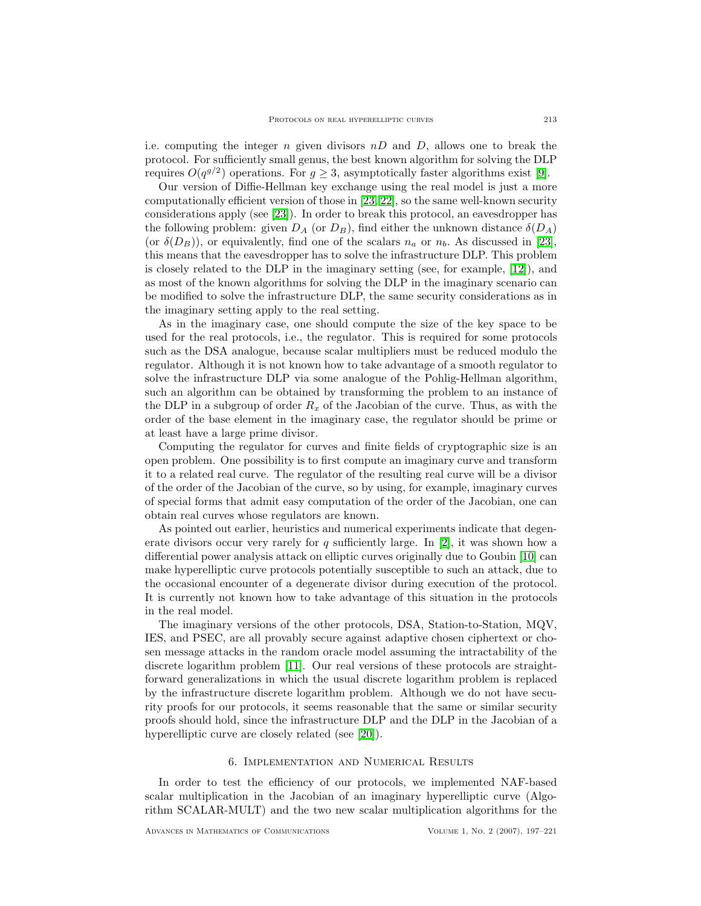i.e. computing the integer n given divisors  $nD$  and D, allows one to break the protocol. For sufficiently small genus, the best known algorithm for solving the DLP requires  $O(q^{g/2})$  operations. For  $g \geq 3$ , asymptotically faster algorithms exist [\[9\]](#page-24-16).

Our version of Diffie-Hellman key exchange using the real model is just a more computationally efficient version of those in [\[23,](#page-24-1) [22\]](#page-24-2), so the same well-known security considerations apply (see [\[23\]](#page-24-1)). In order to break this protocol, an eavesdropper has the following problem: given  $D_A$  (or  $D_B$ ), find either the unknown distance  $\delta(D_A)$ (or  $\delta(D_B)$ ), or equivalently, find one of the scalars  $n_a$  or  $n_b$ . As discussed in [\[23\]](#page-24-1), this means that the eavesdropper has to solve the infrastructure DLP. This problem is closely related to the DLP in the imaginary setting (see, for example, [\[12\]](#page-24-10)), and as most of the known algorithms for solving the DLP in the imaginary scenario can be modified to solve the infrastructure DLP, the same security considerations as in the imaginary setting apply to the real setting.

As in the imaginary case, one should compute the size of the key space to be used for the real protocols, i.e., the regulator. This is required for some protocols such as the DSA analogue, because scalar multipliers must be reduced modulo the regulator. Although it is not known how to take advantage of a smooth regulator to solve the infrastructure DLP via some analogue of the Pohlig-Hellman algorithm, such an algorithm can be obtained by transforming the problem to an instance of the DLP in a subgroup of order  $R_x$  of the Jacobian of the curve. Thus, as with the order of the base element in the imaginary case, the regulator should be prime or at least have a large prime divisor.

Computing the regulator for curves and finite fields of cryptographic size is an open problem. One possibility is to first compute an imaginary curve and transform it to a related real curve. The regulator of the resulting real curve will be a divisor of the order of the Jacobian of the curve, so by using, for example, imaginary curves of special forms that admit easy computation of the order of the Jacobian, one can obtain real curves whose regulators are known.

As pointed out earlier, heuristics and numerical experiments indicate that degenerate divisors occur very rarely for q sufficiently large. In  $[2]$ , it was shown how a differential power analysis attack on elliptic curves originally due to Goubin [\[10\]](#page-24-17) can make hyperelliptic curve protocols potentially susceptible to such an attack, due to the occasional encounter of a degenerate divisor during execution of the protocol. It is currently not known how to take advantage of this situation in the protocols in the real model.

The imaginary versions of the other protocols, DSA, Station-to-Station, MQV, IES, and PSEC, are all provably secure against adaptive chosen ciphertext or chosen message attacks in the random oracle model assuming the intractability of the discrete logarithm problem [\[11\]](#page-24-14). Our real versions of these protocols are straightforward generalizations in which the usual discrete logarithm problem is replaced by the infrastructure discrete logarithm problem. Although we do not have security proofs for our protocols, it seems reasonable that the same or similar security proofs should hold, since the infrastructure DLP and the DLP in the Jacobian of a hyperelliptic curve are closely related (see [\[20\]](#page-24-11)).

#### 6. Implementation and Numerical Results

<span id="page-16-0"></span>In order to test the efficiency of our protocols, we implemented NAF-based scalar multiplication in the Jacobian of an imaginary hyperelliptic curve (Algorithm SCALAR-MULT) and the two new scalar multiplication algorithms for the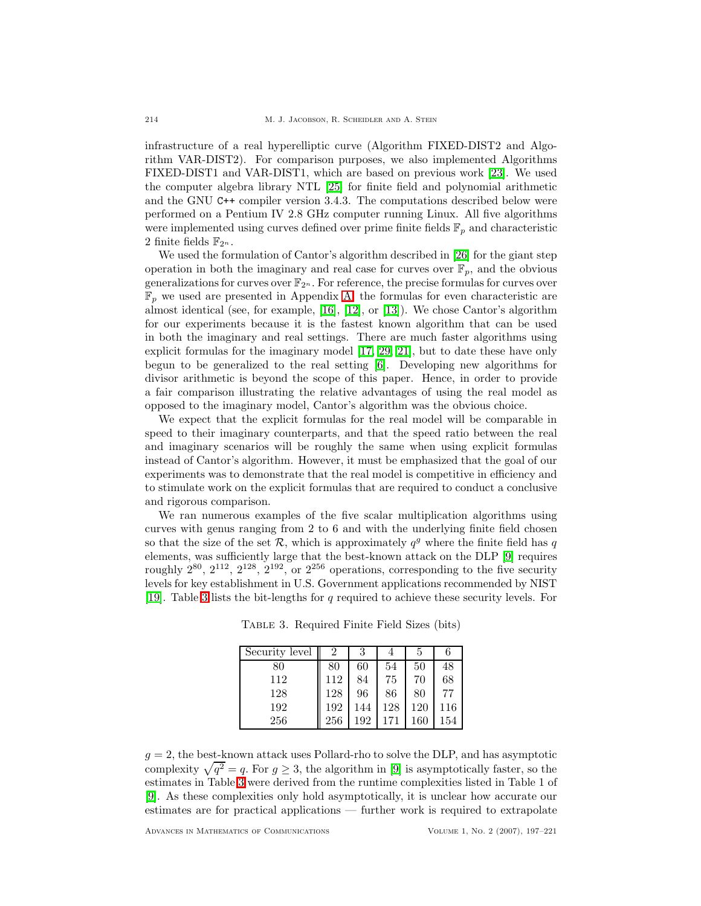infrastructure of a real hyperelliptic curve (Algorithm FIXED-DIST2 and Algorithm VAR-DIST2). For comparison purposes, we also implemented Algorithms FIXED-DIST1 and VAR-DIST1, which are based on previous work [\[23\]](#page-24-1). We used the computer algebra library NTL [\[25\]](#page-24-18) for finite field and polynomial arithmetic and the GNU C++ compiler version 3.4.3. The computations described below were performed on a Pentium IV 2.8 GHz computer running Linux. All five algorithms were implemented using curves defined over prime finite fields  $\mathbb{F}_p$  and characteristic 2 finite fields  $\mathbb{F}_{2^n}$ .

We used the formulation of Cantor's algorithm described in [\[26\]](#page-24-6) for the giant step operation in both the imaginary and real case for curves over  $\mathbb{F}_p$ , and the obvious generalizations for curves over  $\mathbb{F}_{2^n}$ . For reference, the precise formulas for curves over  $\mathbb{F}_p$  we used are presented in Appendix [A;](#page-22-0) the formulas for even characteristic are almost identical (see, for example, [\[16\]](#page-24-0), [\[12\]](#page-24-10), or [\[13\]](#page-24-8)). We chose Cantor's algorithm for our experiments because it is the fastest known algorithm that can be used in both the imaginary and real settings. There are much faster algorithms using explicit formulas for the imaginary model [\[17,](#page-24-3) [29,](#page-24-4) [21\]](#page-24-5), but to date these have only begun to be generalized to the real setting [\[6\]](#page-23-0). Developing new algorithms for divisor arithmetic is beyond the scope of this paper. Hence, in order to provide a fair comparison illustrating the relative advantages of using the real model as opposed to the imaginary model, Cantor's algorithm was the obvious choice.

We expect that the explicit formulas for the real model will be comparable in speed to their imaginary counterparts, and that the speed ratio between the real and imaginary scenarios will be roughly the same when using explicit formulas instead of Cantor's algorithm. However, it must be emphasized that the goal of our experiments was to demonstrate that the real model is competitive in efficiency and to stimulate work on the explicit formulas that are required to conduct a conclusive and rigorous comparison.

We ran numerous examples of the five scalar multiplication algorithms using curves with genus ranging from 2 to 6 and with the underlying finite field chosen so that the size of the set  $\mathcal{R}$ , which is approximately  $q^g$  where the finite field has q elements, was sufficiently large that the best-known attack on the DLP [\[9\]](#page-24-16) requires roughly  $2^{80}$ ,  $2^{112}$ ,  $2^{128}$ ,  $2^{192}$ , or  $2^{256}$  operations, corresponding to the five security levels for key establishment in U.S. Government applications recommended by NIST [\[19\]](#page-24-19). Table [3](#page-17-0) lists the bit-lengths for q required to achieve these security levels. For

Table 3. Required Finite Field Sizes (bits)

<span id="page-17-0"></span>

| Security level |     |     |     | 5   |          |
|----------------|-----|-----|-----|-----|----------|
| 80             | 80  | 60  | 54  | 50  | 48       |
| 112            | 112 | 84  | 75  | 70  | 68       |
| 128            | 128 | 96  | 86  | 80  | 77       |
| 192            | 192 | 144 | 128 | 120 | $_{116}$ |
| 256            | 256 | 192 |     | 160 | 154      |

 $g = 2$ , the best-known attack uses Pollard-rho to solve the DLP, and has asymptotic complexity  $\sqrt{q^2} = q$ . For  $g \ge 3$ , the algorithm in [\[9\]](#page-24-16) is asymptotically faster, so the estimates in Table [3](#page-17-0) were derived from the runtime complexities listed in Table 1 of [\[9\]](#page-24-16). As these complexities only hold asymptotically, it is unclear how accurate our estimates are for practical applications — further work is required to extrapolate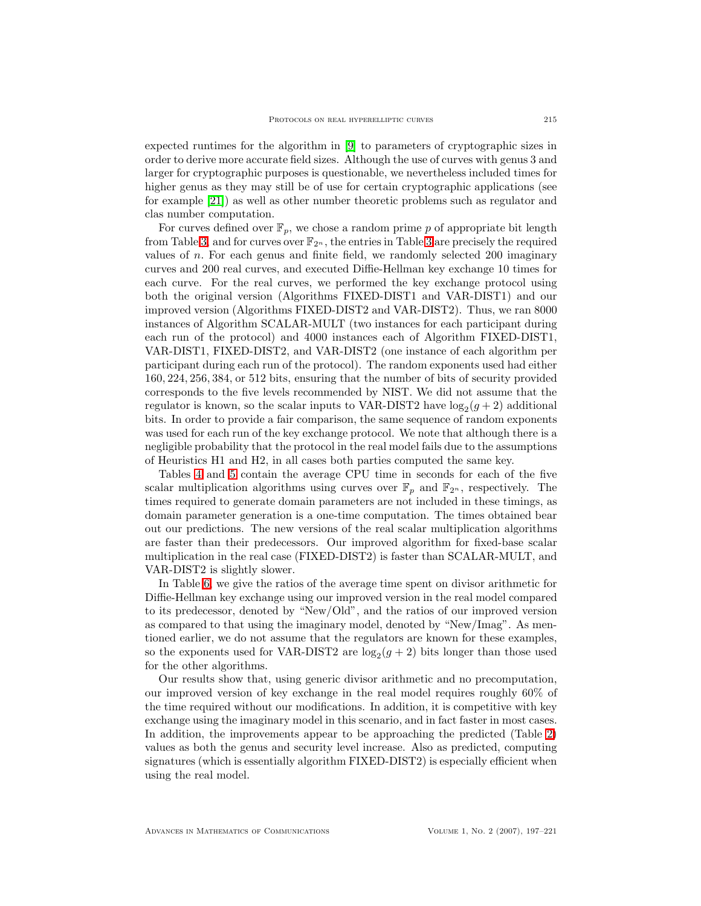expected runtimes for the algorithm in [\[9\]](#page-24-16) to parameters of cryptographic sizes in order to derive more accurate field sizes. Although the use of curves with genus 3 and larger for cryptographic purposes is questionable, we nevertheless included times for higher genus as they may still be of use for certain cryptographic applications (see for example [\[21\]](#page-24-5)) as well as other number theoretic problems such as regulator and clas number computation.

For curves defined over  $\mathbb{F}_p$ , we chose a random prime p of appropriate bit length from Table [3,](#page-17-0) and for curves over  $\mathbb{F}_{2^n}$ , the entries in Table [3](#page-17-0) are precisely the required values of n. For each genus and finite field, we randomly selected 200 imaginary curves and 200 real curves, and executed Diffie-Hellman key exchange 10 times for each curve. For the real curves, we performed the key exchange protocol using both the original version (Algorithms FIXED-DIST1 and VAR-DIST1) and our improved version (Algorithms FIXED-DIST2 and VAR-DIST2). Thus, we ran 8000 instances of Algorithm SCALAR-MULT (two instances for each participant during each run of the protocol) and 4000 instances each of Algorithm FIXED-DIST1, VAR-DIST1, FIXED-DIST2, and VAR-DIST2 (one instance of each algorithm per participant during each run of the protocol). The random exponents used had either 160, 224, 256, 384, or 512 bits, ensuring that the number of bits of security provided corresponds to the five levels recommended by NIST. We did not assume that the regulator is known, so the scalar inputs to VAR-DIST2 have  $log_2(g + 2)$  additional bits. In order to provide a fair comparison, the same sequence of random exponents was used for each run of the key exchange protocol. We note that although there is a negligible probability that the protocol in the real model fails due to the assumptions of Heuristics H1 and H2, in all cases both parties computed the same key.

Tables [4](#page-19-1) and [5](#page-20-0) contain the average CPU time in seconds for each of the five scalar multiplication algorithms using curves over  $\mathbb{F}_p$  and  $\mathbb{F}_{2^n}$ , respectively. The times required to generate domain parameters are not included in these timings, as domain parameter generation is a one-time computation. The times obtained bear out our predictions. The new versions of the real scalar multiplication algorithms are faster than their predecessors. Our improved algorithm for fixed-base scalar multiplication in the real case (FIXED-DIST2) is faster than SCALAR-MULT, and VAR-DIST2 is slightly slower.

In Table [6,](#page-21-0) we give the ratios of the average time spent on divisor arithmetic for Diffie-Hellman key exchange using our improved version in the real model compared to its predecessor, denoted by "New/Old", and the ratios of our improved version as compared to that using the imaginary model, denoted by "New/Imag". As mentioned earlier, we do not assume that the regulators are known for these examples, so the exponents used for VAR-DIST2 are  $log_2(g + 2)$  bits longer than those used for the other algorithms.

Our results show that, using generic divisor arithmetic and no precomputation, our improved version of key exchange in the real model requires roughly 60% of the time required without our modifications. In addition, it is competitive with key exchange using the imaginary model in this scenario, and in fact faster in most cases. In addition, the improvements appear to be approaching the predicted (Table [2\)](#page-15-1) values as both the genus and security level increase. Also as predicted, computing signatures (which is essentially algorithm FIXED-DIST2) is especially efficient when using the real model.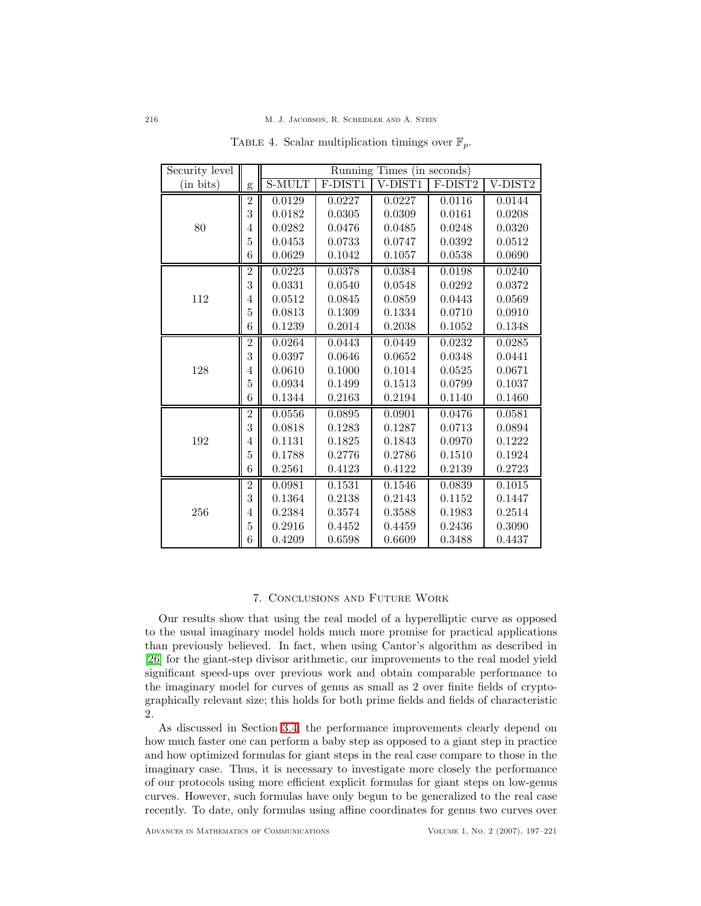| Security level |                | Running Times (in seconds) |         |         |         |         |  |
|----------------|----------------|----------------------------|---------|---------|---------|---------|--|
| (in bits)      | $\mathbf{g}$   | S-MULT                     | F-DIST1 | V-DIST1 | F-DIST2 | V-DIST2 |  |
|                | $\overline{2}$ | 0.0129                     | 0.0227  | 0.0227  | 0.0116  | 0.0144  |  |
|                | 3              | 0.0182                     | 0.0305  | 0.0309  | 0.0161  | 0.0208  |  |
| 80             | 4              | 0.0282                     | 0.0476  | 0.0485  | 0.0248  | 0.0320  |  |
|                | $\overline{5}$ | 0.0453                     | 0.0733  | 0.0747  | 0.0392  | 0.0512  |  |
|                | 6              | 0.0629                     | 0.1042  | 0.1057  | 0.0538  | 0.0690  |  |
|                | $\overline{2}$ | 0.0223                     | 0.0378  | 0.0384  | 0.0198  | 0.0240  |  |
|                | 3              | 0.0331                     | 0.0540  | 0.0548  | 0.0292  | 0.0372  |  |
| 112            | 4              | 0.0512                     | 0.0845  | 0.0859  | 0.0443  | 0.0569  |  |
|                | 5              | 0.0813                     | 0.1309  | 0.1334  | 0.0710  | 0.0910  |  |
|                | 6              | 0.1239                     | 0.2014  | 0.2038  | 0.1052  | 0.1348  |  |
|                | $\overline{2}$ | 0.0264                     | 0.0443  | 0.0449  | 0.0232  | 0.0285  |  |
|                | 3              | 0.0397                     | 0.0646  | 0.0652  | 0.0348  | 0.0441  |  |
| 128            | 4              | 0.0610                     | 0.1000  | 0.1014  | 0.0525  | 0.0671  |  |
|                | $\overline{5}$ | 0.0934                     | 0.1499  | 0.1513  | 0.0799  | 0.1037  |  |
|                | 6              | 0.1344                     | 0.2163  | 0.2194  | 0.1140  | 0.1460  |  |
|                | $\overline{2}$ | 0.0556                     | 0.0895  | 0.0901  | 0.0476  | 0.0581  |  |
|                | 3              | 0.0818                     | 0.1283  | 0.1287  | 0.0713  | 0.0894  |  |
| 192            | 4              | 0.1131                     | 0.1825  | 0.1843  | 0.0970  | 0.1222  |  |
|                | $\overline{5}$ | 0.1788                     | 0.2776  | 0.2786  | 0.1510  | 0.1924  |  |
|                | $\overline{6}$ | 0.2561                     | 0.4123  | 0.4122  | 0.2139  | 0.2723  |  |
|                | $\overline{2}$ | 0.0981                     | 0.1531  | 0.1546  | 0.0839  | 0.1015  |  |
|                | 3              | 0.1364                     | 0.2138  | 0.2143  | 0.1152  | 0.1447  |  |
| 256            | 4              | 0.2384                     | 0.3574  | 0.3588  | 0.1983  | 0.2514  |  |
|                | $\overline{5}$ | 0.2916                     | 0.4452  | 0.4459  | 0.2436  | 0.3090  |  |
|                | 6              | 0.4209                     | 0.6598  | 0.6609  | 0.3488  | 0.4437  |  |

<span id="page-19-1"></span>TABLE 4. Scalar multiplication timings over  $\mathbb{F}_p$ .

### 7. Conclusions and Future Work

<span id="page-19-0"></span>Our results show that using the real model of a hyperelliptic curve as opposed to the usual imaginary model holds much more promise for practical applications than previously believed. In fact, when using Cantor's algorithm as described in [\[26\]](#page-24-6) for the giant-step divisor arithmetic, our improvements to the real model yield significant speed-ups over previous work and obtain comparable performance to the imaginary model for curves of genus as small as 2 over finite fields of cryptographically relevant size; this holds for both prime fields and fields of characteristic 2.

As discussed in Section [3.4,](#page-12-2) the performance improvements clearly depend on how much faster one can perform a baby step as opposed to a giant step in practice and how optimized formulas for giant steps in the real case compare to those in the imaginary case. Thus, it is necessary to investigate more closely the performance of our protocols using more efficient explicit formulas for giant steps on low-genus curves. However, such formulas have only begun to be generalized to the real case recently. To date, only formulas using affine coordinates for genus two curves over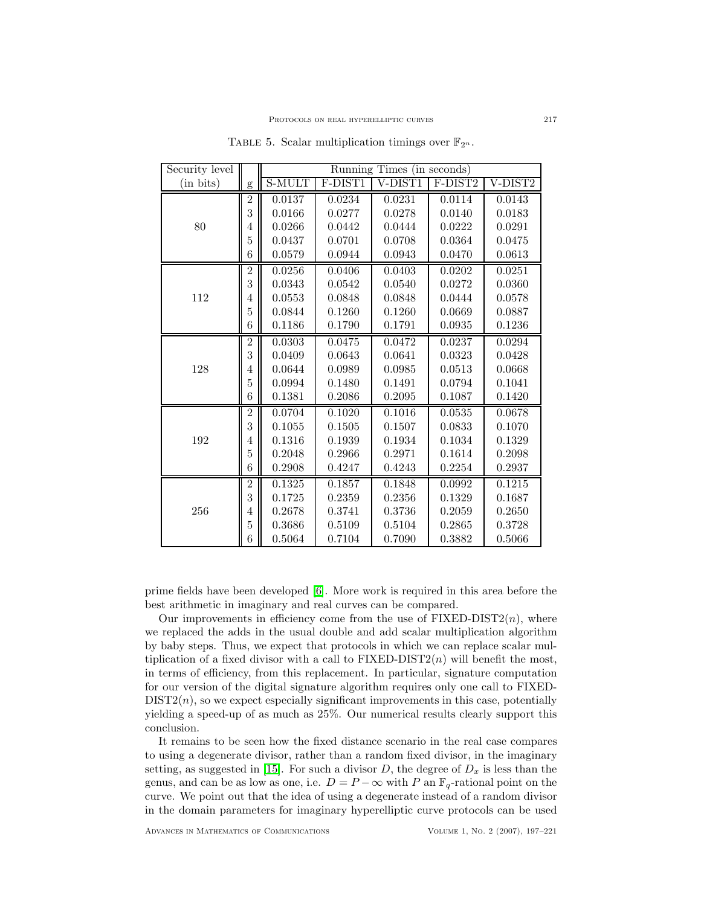| Security level |                | Running Times (in seconds) |         |         |            |         |  |
|----------------|----------------|----------------------------|---------|---------|------------|---------|--|
| (in bits)      | $\mathbf{g}$   | <b>S-MULT</b>              | F-DIST1 | V-DIST1 | F-DIST2    | V-DIST2 |  |
|                | $\overline{2}$ | 0.0137                     | 0.0234  | 0.0231  | 0.0114     | 0.0143  |  |
|                | 3              | 0.0166                     | 0.0277  | 0.0278  | 0.0140     | 0.0183  |  |
| 80             | 4              | 0.0266                     | 0.0442  | 0.0444  | 0.0222     | 0.0291  |  |
|                | 5              | 0.0437                     | 0.0701  | 0.0708  | 0.0364     | 0.0475  |  |
|                | 6              | 0.0579                     | 0.0944  | 0.0943  | 0.0470     | 0.0613  |  |
|                | $\overline{2}$ | 0.0256                     | 0.0406  | 0.0403  | 0.0202     | 0.0251  |  |
|                | 3              | 0.0343                     | 0.0542  | 0.0540  | 0.0272     | 0.0360  |  |
| 112            | 4              | 0.0553                     | 0.0848  | 0.0848  | 0.0444     | 0.0578  |  |
|                | $\overline{5}$ | 0.0844                     | 0.1260  | 0.1260  | 0.0669     | 0.0887  |  |
|                | 6              | 0.1186                     | 0.1790  | 0.1791  | 0.0935     | 0.1236  |  |
|                | $\overline{2}$ | 0.0303                     | 0.0475  | 0.0472  | 0.0237     | 0.0294  |  |
|                | 3              | 0.0409                     | 0.0643  | 0.0641  | ${0.0323}$ | 0.0428  |  |
| 128            | 4              | 0.0644                     | 0.0989  | 0.0985  | 0.0513     | 0.0668  |  |
|                | $\overline{5}$ | 0.0994                     | 0.1480  | 0.1491  | 0.0794     | 0.1041  |  |
|                | 6              | 0.1381                     | 0.2086  | 0.2095  | 0.1087     | 0.1420  |  |
|                | $\overline{2}$ | 0.0704                     | 0.1020  | 0.1016  | 0.0535     | 0.0678  |  |
|                | 3              | 0.1055                     | 0.1505  | 0.1507  | 0.0833     | 0.1070  |  |
| 192            | 4              | 0.1316                     | 0.1939  | 0.1934  | 0.1034     | 0.1329  |  |
|                | 5              | 0.2048                     | 0.2966  | 0.2971  | 0.1614     | 0.2098  |  |
|                | 6              | 0.2908                     | 0.4247  | 0.4243  | 0.2254     | 0.2937  |  |
|                | $\overline{2}$ | 0.1325                     | 0.1857  | 0.1848  | 0.0992     | 0.1215  |  |
|                | 3              | 0.1725                     | 0.2359  | 0.2356  | 0.1329     | 0.1687  |  |
| 256            | 4              | 0.2678                     | 0.3741  | 0.3736  | 0.2059     | 0.2650  |  |
|                | 5              | 0.3686                     | 0.5109  | 0.5104  | 0.2865     | 0.3728  |  |
|                | 6              | 0.5064                     | 0.7104  | 0.7090  | 0.3882     | 0.5066  |  |

<span id="page-20-0"></span>TABLE 5. Scalar multiplication timings over  $\mathbb{F}_{2^n}$ .

prime fields have been developed [\[6\]](#page-23-0). More work is required in this area before the best arithmetic in imaginary and real curves can be compared.

Our improvements in efficiency come from the use of  $\text{FIXED-DIST2}(n)$ , where we replaced the adds in the usual double and add scalar multiplication algorithm by baby steps. Thus, we expect that protocols in which we can replace scalar multiplication of a fixed divisor with a call to  $\text{FIXED-DIST2}(n)$  will benefit the most, in terms of efficiency, from this replacement. In particular, signature computation for our version of the digital signature algorithm requires only one call to FIXED- $DIST2(n)$ , so we expect especially significant improvements in this case, potentially yielding a speed-up of as much as 25%. Our numerical results clearly support this conclusion.

It remains to be seen how the fixed distance scenario in the real case compares to using a degenerate divisor, rather than a random fixed divisor, in the imaginary setting, as suggested in [\[15\]](#page-24-15). For such a divisor  $D$ , the degree of  $D_x$  is less than the genus, and can be as low as one, i.e.  $D = P - \infty$  with P an  $\mathbb{F}_q$ -rational point on the curve. We point out that the idea of using a degenerate instead of a random divisor in the domain parameters for imaginary hyperelliptic curve protocols can be used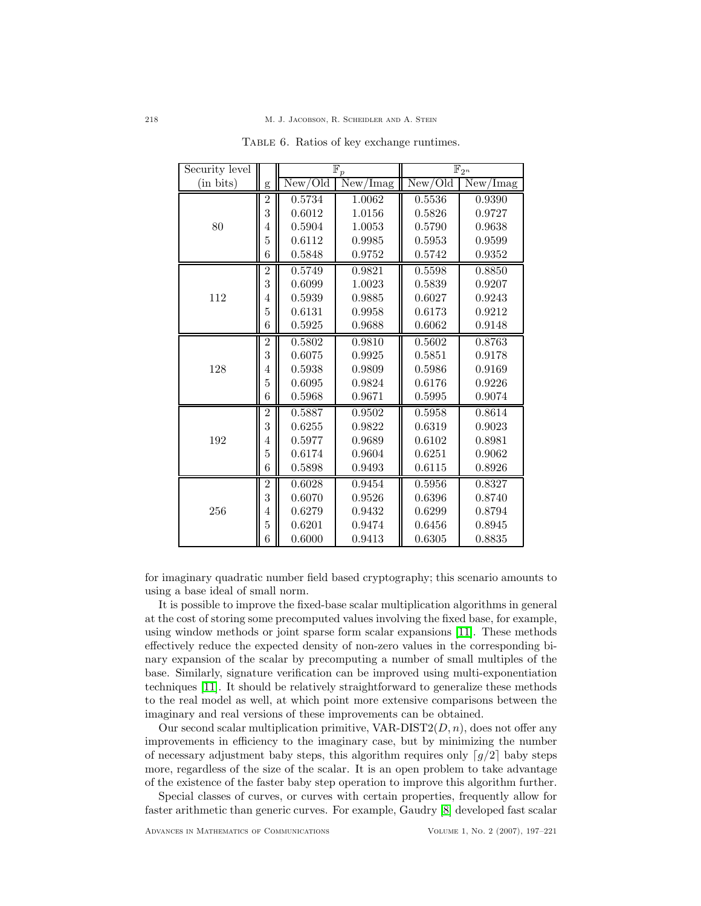| Security level |                |         | $\mathbb{F}_p$                      | $\mathbb{F}_{2^n}$ |          |  |
|----------------|----------------|---------|-------------------------------------|--------------------|----------|--|
| (in bits)      | g              | New/Old | $\overline{\text{New}}/\text{Imag}$ | New/Old            | New/Imag |  |
|                | $\overline{2}$ | 0.5734  | 1.0062                              | 0.5536             | 0.9390   |  |
|                | 3              | 0.6012  | 1.0156                              | 0.5826             | 0.9727   |  |
| 80             | 4              | 0.5904  | 1.0053                              | 0.5790             | 0.9638   |  |
|                | 5              | 0.6112  | 0.9985                              | 0.5953             | 0.9599   |  |
|                | 6              | 0.5848  | 0.9752                              | 0.5742             | 0.9352   |  |
|                | $\overline{2}$ | 0.5749  | 0.9821                              | 0.5598             | 0.8850   |  |
|                | 3              | 0.6099  | 1.0023                              | 0.5839             | 0.9207   |  |
| 112            | 4              | 0.5939  | 0.9885                              | 0.6027             | 0.9243   |  |
|                | 5              | 0.6131  | 0.9958                              | 0.6173             | 0.9212   |  |
|                | 6              | 0.5925  | 0.9688                              | 0.6062             | 0.9148   |  |
|                | $\overline{2}$ | 0.5802  | 0.9810                              | 0.5602             | 0.8763   |  |
|                | 3              | 0.6075  | 0.9925                              | 0.5851             | 0.9178   |  |
| 128            | 4              | 0.5938  | 0.9809                              | 0.5986             | 0.9169   |  |
|                | $\overline{5}$ | 0.6095  | 0.9824                              | 0.6176             | 0.9226   |  |
|                | 6              | 0.5968  | 0.9671                              | 0.5995             | 0.9074   |  |
|                | $\overline{2}$ | 0.5887  | 0.9502                              | 0.5958             | 0.8614   |  |
|                | 3              | 0.6255  | 0.9822                              | 0.6319             | 0.9023   |  |
| 192            | 4              | 0.5977  | 0.9689                              | 0.6102             | 0.8981   |  |
|                | 5              | 0.6174  | 0.9604                              | 0.6251             | 0.9062   |  |
|                | 6              | 0.5898  | 0.9493                              | 0.6115             | 0.8926   |  |
|                | $\overline{2}$ | 0.6028  | 0.9454                              | 0.5956             | 0.8327   |  |
|                | 3              | 0.6070  | 0.9526                              | 0.6396             | 0.8740   |  |
| 256            | 4              | 0.6279  | 0.9432                              | 0.6299             | 0.8794   |  |
|                | 5              | 0.6201  | 0.9474                              | 0.6456             | 0.8945   |  |
|                | 6              | 0.6000  | 0.9413                              | 0.6305             | 0.8835   |  |

<span id="page-21-0"></span>TABLE 6. Ratios of key exchange runtimes.

for imaginary quadratic number field based cryptography; this scenario amounts to using a base ideal of small norm.

It is possible to improve the fixed-base scalar multiplication algorithms in general at the cost of storing some precomputed values involving the fixed base, for example, using window methods or joint sparse form scalar expansions [\[11\]](#page-24-14). These methods effectively reduce the expected density of non-zero values in the corresponding binary expansion of the scalar by precomputing a number of small multiples of the base. Similarly, signature verification can be improved using multi-exponentiation techniques [\[11\]](#page-24-14). It should be relatively straightforward to generalize these methods to the real model as well, at which point more extensive comparisons between the imaginary and real versions of these improvements can be obtained.

Our second scalar multiplication primitive,  $VAR-DIST2(D, n)$ , does not offer any improvements in efficiency to the imaginary case, but by minimizing the number of necessary adjustment baby steps, this algorithm requires only  $\lceil g/2 \rceil$  baby steps more, regardless of the size of the scalar. It is an open problem to take advantage of the existence of the faster baby step operation to improve this algorithm further.

Special classes of curves, or curves with certain properties, frequently allow for faster arithmetic than generic curves. For example, Gaudry [\[8\]](#page-23-1) developed fast scalar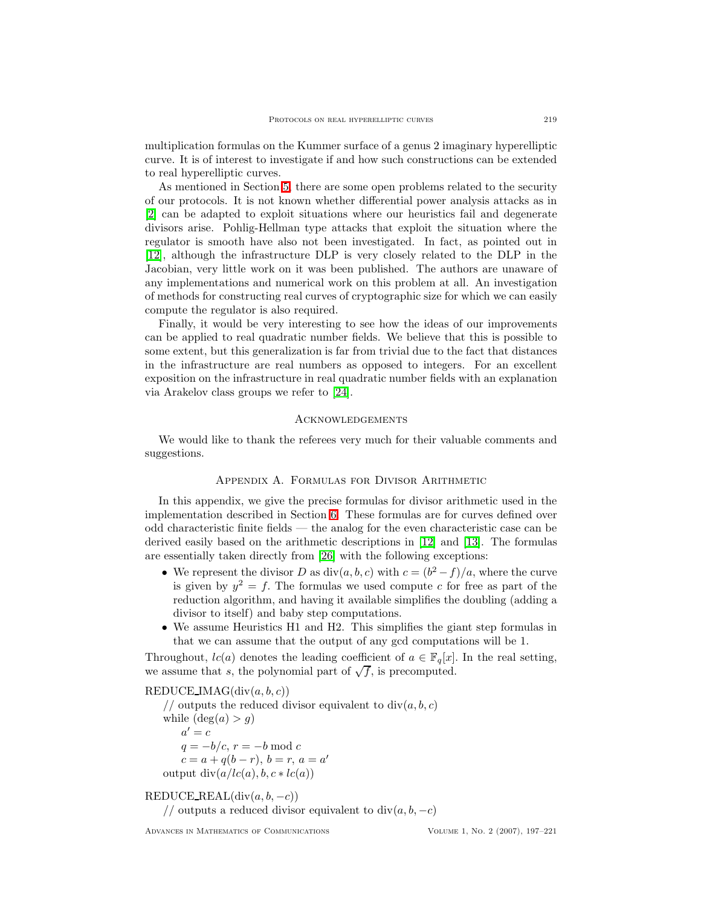multiplication formulas on the Kummer surface of a genus 2 imaginary hyperelliptic curve. It is of interest to investigate if and how such constructions can be extended to real hyperelliptic curves.

As mentioned in Section [5,](#page-15-0) there are some open problems related to the security of our protocols. It is not known whether differential power analysis attacks as in [\[2\]](#page-23-7) can be adapted to exploit situations where our heuristics fail and degenerate divisors arise. Pohlig-Hellman type attacks that exploit the situation where the regulator is smooth have also not been investigated. In fact, as pointed out in [\[12\]](#page-24-10), although the infrastructure DLP is very closely related to the DLP in the Jacobian, very little work on it was been published. The authors are unaware of any implementations and numerical work on this problem at all. An investigation of methods for constructing real curves of cryptographic size for which we can easily compute the regulator is also required.

Finally, it would be very interesting to see how the ideas of our improvements can be applied to real quadratic number fields. We believe that this is possible to some extent, but this generalization is far from trivial due to the fact that distances in the infrastructure are real numbers as opposed to integers. For an excellent exposition on the infrastructure in real quadratic number fields with an explanation via Arakelov class groups we refer to [\[24\]](#page-24-20).

#### **ACKNOWLEDGEMENTS**

<span id="page-22-0"></span>We would like to thank the referees very much for their valuable comments and suggestions.

#### Appendix A. Formulas for Divisor Arithmetic

In this appendix, we give the precise formulas for divisor arithmetic used in the implementation described in Section [6.](#page-16-0) These formulas are for curves defined over odd characteristic finite fields — the analog for the even characteristic case can be derived easily based on the arithmetic descriptions in [\[12\]](#page-24-10) and [\[13\]](#page-24-8). The formulas are essentially taken directly from [\[26\]](#page-24-6) with the following exceptions:

- We represent the divisor D as  $div(a, b, c)$  with  $c = (b^2 f)/a$ , where the curve is given by  $y^2 = f$ . The formulas we used compute c for free as part of the reduction algorithm, and having it available simplifies the doubling (adding a divisor to itself) and baby step computations.
- We assume Heuristics H1 and H2. This simplifies the giant step formulas in that we can assume that the output of any gcd computations will be 1.

Throughout,  $lc(a)$  denotes the leading coefficient of  $a \in \mathbb{F}_q[x]$ . In the real setting, we assume that s, the polynomial part of  $\sqrt{f}$ , is precomputed.

REDUCE IMAG $(\text{div}(a, b, c))$ 

// outputs the reduced divisor equivalent to  $div(a, b, c)$ while  $(\deg(a) > q)$  $a'=c$  $q = -b/c$ ,  $r = -b \mod c$  $c = a + q(b - r), b = r, a = a'$ output  $div(a/lc(a), b, c * lc(a))$ 

# $REDUCE\_REAL(div(a, b, -c))$

// outputs a reduced divisor equivalent to  $div(a, b, -c)$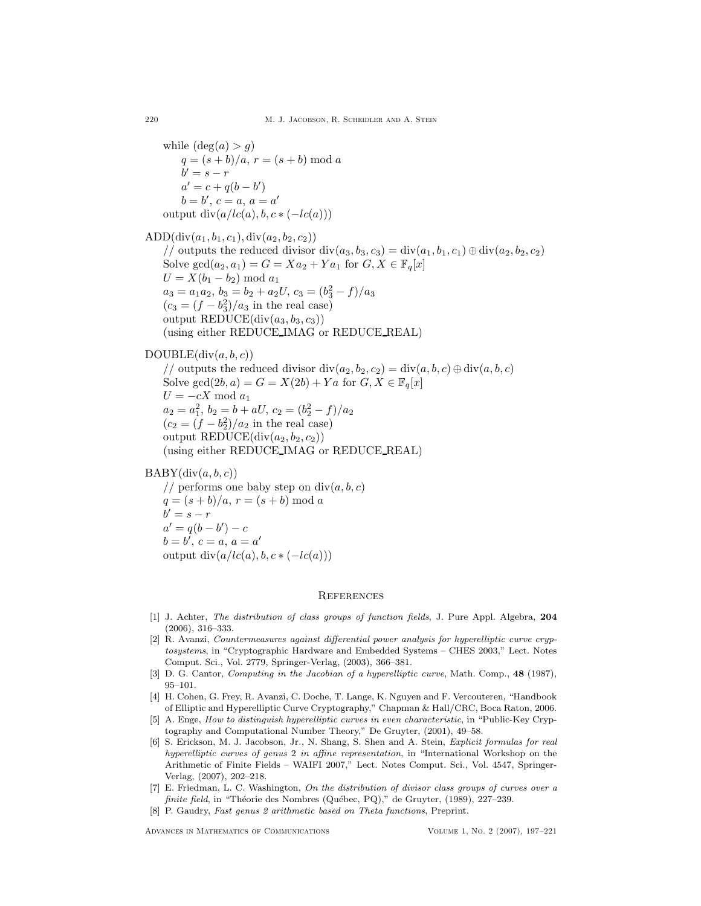while  $(\deg(a) > q)$  $q = (s + b)/a, r = (s + b) \mod a$  $b' = s - r$  $a' = c + q(b - b')$  $b = b', c = a, a = a'$ output  $div(a/lc(a), b, c*(-lc(a)))$ 

ADD $(\text{div}(a_1, b_1, c_1), \text{div}(a_2, b_2, c_2))$ // outputs the reduced divisor div $(a_3, b_3, c_3) = \text{div}(a_1, b_1, c_1) \oplus \text{div}(a_2, b_2, c_2)$ Solve  $gcd(a_2, a_1) = G = Xa_2 + Ya_1$  for  $G, X \in \mathbb{F}_q[x]$  $U = X(b_1 - b_2) \bmod a_1$  $a_3 = a_1 a_2, b_3 = b_2 + a_2 U, c_3 = (b_3^2 - f)/a_3$  $(c_3 = (f - b_3^2)/a_3$  in the real case) output REDUCE $(\text{div}(a_3, b_3, c_3))$ (using either REDUCE IMAG or REDUCE REAL)

# $DOUBLE(\text{div}(a, b, c))$

// outputs the reduced divisor  $\text{div}(a_2, b_2, c_2) = \text{div}(a, b, c) \oplus \text{div}(a, b, c)$ Solve gcd $(2b, a) = G = X(2b) + Ya$  for  $G, X \in \mathbb{F}_q[x]$  $U = -cX \mod a_1$  $a_2 = a_1^2$ ,  $b_2 = b + aU$ ,  $c_2 = (b_2^2 - f)/a_2$  $(c_2 = (f - b_2^2)/a_2$  in the real case) output REDUCE $(\text{div}(a_2, b_2, c_2))$ (using either REDUCE IMAG or REDUCE REAL)

 $BABY(\text{div}(a, b, c))$ 

// performs one baby step on  $div(a, b, c)$  $q = (s + b)/a, r = (s + b) \mod a$  $b' = s - r$  $a' = q(b - b') - c$  $b = b', c = a, a = a'$ output  $div(a/lc(a), b, c*(-lc(a)))$ 

# **REFERENCES**

- <span id="page-23-5"></span>[1] J. Achter, The distribution of class groups of function fields, J. Pure Appl. Algebra, 204 (2006), 316–333.
- <span id="page-23-7"></span>[2] R. Avanzi, Countermeasures against differential power analysis for hyperelliptic curve cryptosystems, in "Cryptographic Hardware and Embedded Systems – CHES 2003," Lect. Notes Comput. Sci., Vol. 2779, Springer-Verlag, (2003), 366–381.
- <span id="page-23-3"></span>[3] D. G. Cantor, *Computing in the Jacobian of a hyperelliptic curve*, Math. Comp., 48 (1987), 95–101.
- <span id="page-23-6"></span>[4] H. Cohen, G. Frey, R. Avanzi, C. Doche, T. Lange, K. Nguyen and F. Vercouteren, "Handbook of Elliptic and Hyperelliptic Curve Cryptography," Chapman & Hall/CRC, Boca Raton, 2006.
- <span id="page-23-2"></span>[5] A. Enge, How to distinguish hyperelliptic curves in even characteristic, in "Public-Key Cryptography and Computational Number Theory," De Gruyter, (2001), 49–58.
- <span id="page-23-0"></span>[6] S. Erickson, M. J. Jacobson, Jr., N. Shang, S. Shen and A. Stein, Explicit formulas for real hyperelliptic curves of genus 2 in affine representation, in "International Workshop on the Arithmetic of Finite Fields – WAIFI 2007," Lect. Notes Comput. Sci., Vol. 4547, Springer-Verlag, (2007), 202–218.
- <span id="page-23-4"></span>[7] E. Friedman, L. C. Washington, On the distribution of divisor class groups of curves over a finite field, in "Théorie des Nombres (Québec, PQ)," de Gruyter, (1989), 227-239.
- <span id="page-23-1"></span>[8] P. Gaudry, Fast genus 2 arithmetic based on Theta functions, Preprint.

Advances in Mathematics of Communications Volume 1, No. 2 (2007), 197–221